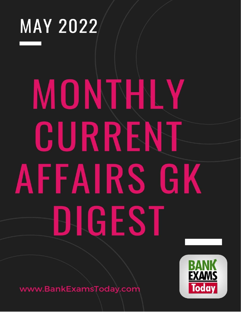

# MONTHLY CURRENT AFFAIRS GK BIGEST



www.BankExamsToday.com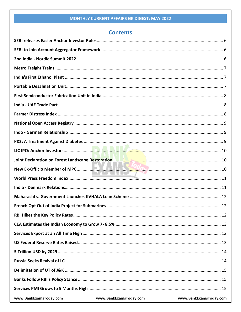# **Contents**

| www.BankExamsToday.com | www.BankExamsToday.com | www.BankExamsToday.com |
|------------------------|------------------------|------------------------|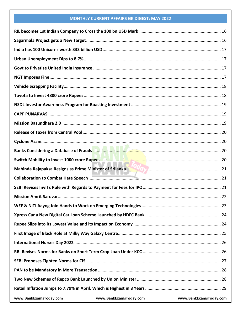| www.BankExamsToday.com | www.BankExamsToday.com | www.BankExamsToday.com |
|------------------------|------------------------|------------------------|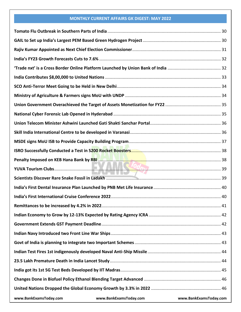| www.BankExamsToday.com | www.BankExamsToday.com | www.BankExamsToday.com |
|------------------------|------------------------|------------------------|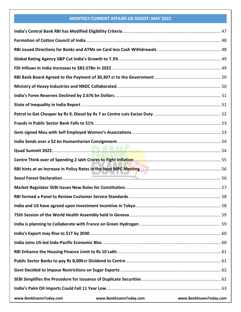| www.BankExamsToday.com | www.BankExamsToday.com www.BankExamsToday.com |  |
|------------------------|-----------------------------------------------|--|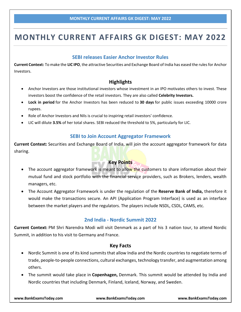# **SEBI releases Easier Anchor Investor Rules**

<span id="page-6-0"></span>**Current Context:** To make the **LIC IPO**, the attractive Securities and Exchange Board of India has eased the rules for Anchor Investors.

# **Highlights**

- Anchor Investors are those institutional investors whose investment in an IPO motivates others to invest. These investors boost the confidence of the retail investors. They are also called **Celebrity Investors.**
- **Lock in period** for the Anchor Investors has been reduced to **30 days** for public issues exceeding 10000 crore rupees.
- Role of Anchor Investors and NIIs is crucial to inspiring retail investors' confidence.
- <span id="page-6-1"></span>LIC will dilute **3.5%** of her total shares. SEBI reduced the threshold to 5%, particularly for LIC.

# **SEBI to Join Account Aggregator Framework**

**Current Context:** Securities and Exchange Board of India, will join the account aggregator framework for data sharing.

# **Key Points**

- The account aggregator framework is meant to allow the customers to share information about their mutual fund and stock portfolio with the financial service providers, such as Brokers, lenders, wealth managers, etc.
- The Account Aggregator Framework is under the regulation of the **Reserve Bank of India,** therefore it would make the transactions secure. An API (Application Program Interface) is used as an interface between the market players and the regulators. The players include NSDL, CSDL, CAMS, etc.

### **2nd India - Nordic Summit 2022**

<span id="page-6-2"></span>**Current Context:** PM Shri Narendra Modi will visit Denmark as a part of his 3 nation tour, to attend Nordic Summit, in addition to his visit to Germany and France.

### **Key Facts**

- Nordic Summit is one of its kind summits that allow India and the Nordic countries to negotiate terms of trade, people-to-people connections, cultural exchanges, technology transfer, and augmentation among others.
- The summit would take place in **Copenhagen,** Denmark. This summit would be attended by India and Nordic countries that including Denmark, Finland, Iceland, Norway, and Sweden.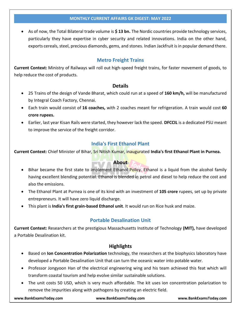As of now, the Total Bilateral trade volume is **\$ 13 bn.** The Nordic countries provide technology services, particularly they have expertise in cyber security and related innovations. India on the other hand, exports cereals, steel, precious diamonds, gems, and stones. Indian Jackfruit is in popular demand there.

# **Metro Freight Trains**

<span id="page-7-0"></span>**Current Context:** Ministry of Railways will roll out high-speed freight trains, for faster movement of goods, to help reduce the cost of products.

# **Details**

- 25 Trains of the design of Vande Bharat, which could run at a speed of **160 km/h,** will be manufactured by Integral Coach Factory, Chennai.
- Each train would consist of **16 coaches,** with 2 coaches meant for refrigeration. A train would cost **60 crore rupees.**
- Earlier, last year Kisan Rails were started, they however lack the speed. **DFCCIL** is a dedicated PSU meant to improve the service of the freight corridor.

# **India's First Ethanol Plant**

<span id="page-7-1"></span>**Current Context:** Chief Minister of Bihar, Sri Nitish Kumar, inaugurated **India's first Ethanol Plant in Purnea.**

# **About**

- Bihar became the first state to implement Ethanol Policy. Ethanol is a liquid from the alcohol family having excellent blending potential. Ethanol is blended in petrol and diesel to help reduce the cost and also the emissions.
- The Ethanol Plant at Purnea is one of its kind with an investment of **105 crore** rupees, set up by private entrepreneurs. It will have zero liquid discharge.
- <span id="page-7-2"></span>This plant is **India's first grain-based Ethanol unit**. It would run on Rice husk and maize.

# **Portable Desalination Unit**

**Current Context:** Researchers at the prestigious Massachusetts Institute of Technology **(MIT),** have developed a Portable Desalination kit.

# **Highlights**

- Based on **Ion Concentration Polarization** technology, the researchers at the biophysics laboratory have developed a Portable Desalination Unit that can turn the oceanic water into potable water.
- Professor Jongyoon Han of the electrical engineering wing and his team achieved this feat which will transform coastal tourism and help evolve similar sustainable solutions.
- The unit costs 50 USD, which is very much affordable. The kit uses ion concentration polarization to remove the impurities along with pathogens by creating an electric field.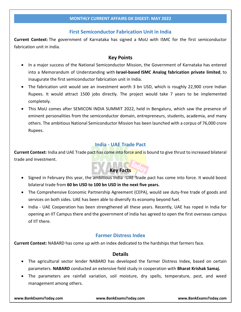### **First Semiconductor Fabrication Unit in India**

<span id="page-8-0"></span>**Current Context:** The government of Karnataka has signed a MoU with ISMC for the first semiconductor fabrication unit in India.

### **Key Points**

- In a major success of the National Semiconductor Mission, the Government of Karnataka has entered into a Memorandum of Understanding with **Israel-based ISMC Analog fabrication private limited**, to inaugurate the first semiconductor fabrication unit in India.
- The fabrication unit would see an investment worth 3 bn USD, which is roughly 22,900 crore Indian Rupees. It would attract 1500 jobs directly. The project would take 7 years to be implemented completely.
- This MoU comes after SEMICON INDIA SUMMIT 2022, held in Bengaluru, which saw the presence of eminent personalities from the semiconductor domain, entrepreneurs, students, academia, and many others. The ambitious National Semiconductor Mission has been launched with a corpus of 76,000 crore Rupees.

# **India - UAE Trade Pact**

<span id="page-8-1"></span>**Current Context:** India and UAE Trade pact has come into force and is bound to give thrust to increased bilateral trade and investment.

# **Key Facts**

- Signed in February this year, the ambitious India -UAE Trade pact has come into force. It would boost bilateral trade from **60 bn USD to 100 bn USD in the next five years.**
- The Comprehensive Economic Partnership Agreement (CEPA), would see duty-free trade of goods and services on both sides. UAE has been able to diversify its economy beyond fuel.
- India UAE Cooperation has been strengthened all these years. Recently, UAE has roped in India for opening an IIT Campus there and the government of India has agreed to open the first overseas campus of IIT there.

### **Farmer Distress Index**

<span id="page-8-2"></span>**Current Context:** NABARD has come up with an index dedicated to the hardships that farmers face.

### **Details**

- The agricultural sector lender NABARD has developed the farmer Distress Index, based on certain parameters. **NABARD** conducted an extensive field study in cooperation with **Bharat Krishak Samaj.**
- The parameters are rainfall variation, soil moisture, dry spells, temperature, pest, and weed management among others.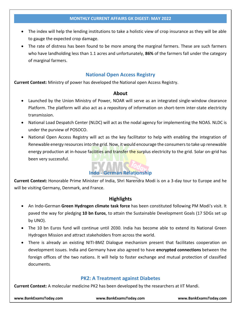- The index will help the lending institutions to take a holistic view of crop insurance as they will be able to gauge the expected crop damage.
- The rate of distress has been found to be more among the marginal farmers. These are such farmers who have landholding less than 1.1 acres and unfortunately, **86%** of the farmers fall under the category of marginal farmers.

# **National Open Access Registry**

<span id="page-9-0"></span>**Current Context:** Ministry of power has developed the National open Access Registry.

### **About**

- Launched by the Union Ministry of Power, NOAR will serve as an integrated single-window clearance Platform. The platform will also act as a repository of information on short-term inter-state electricity transmission.
- National Load Despatch Center (NLDC) will act as the nodal agency for implementing the NOAS. NLDC is under the purview of POSOCO.
- National Open Access Registry will act as the key facilitator to help with enabling the integration of Renewable energy resources into the grid. Now, it would encourage the consumers to take up renewable energy production at in-house facilities and transfer the surplus electricity to the grid. Solar on-grid has been very successful.

# **Indo - German Relationship**

<span id="page-9-1"></span>**Current Context:** Honorable Prime Minister of India, Shri Narendra Modi is on a 3-day tour to Europe and he will be visiting Germany, Denmark, and France.

### **Highlights**

- An Indo-German **Green Hydrogen climate task force** has been constituted following PM Modi's visit. It paved the way for pledging **10 bn Euros**, to attain the Sustainable Development Goals (17 SDGs set up by UNO).
- The 10 bn Euros fund will continue until 2030. India has become able to extend its National Green Hydrogen Mission and attract stakeholders from across the world.
- There is already an existing NITI-BMZ Dialogue mechanism present that facilitates cooperation on development issues. India and Germany have also agreed to have **encrypted connections** between the foreign offices of the two nations. It will help to foster exchange and mutual protection of classified documents.

### **PK2: A Treatment against Diabetes**

<span id="page-9-2"></span>**Current Context:** A molecular medicine PK2 has been developed by the researchers at IIT Mandi.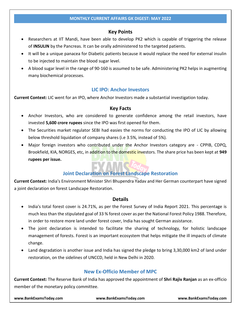# **Key Points**

- Researchers at IIT Mandi, have been able to develop PK2 which is capable of triggering the release of **INSULIN** by the Pancreas. It can be orally administered to the targeted patients.
- It will be a unique panacea for Diabetic patients because it would replace the need for external insulin to be injected to maintain the blood sugar level.
- A blood sugar level in the range of 90-160 is assumed to be safe. Administering PK2 helps in augmenting many biochemical processes.

# **LIC IPO: Anchor Investors**

<span id="page-10-0"></span>**Current Context:** LIC went for an IPO, where Anchor Investors made a substantial investigation today.

### **Key Facts**

- Anchor Investors, who are considered to generate confidence among the retail investors, have invested **5,600 crore rupees** since the IPO was first opened for them.
- The Securities market regulator SEBI had easies the norms for conducting the IPO of LIC by allowing below threshold liquidation of company shares (i.e 3.5%, instead of 5%).
- Major foreign investors who contributed under the Anchor Investors category are CPPIB, CDPQ, Brookfield, KIA, NORGES, etc, in addition to the domestic investors. The share price has been kept at **949 rupees per issue.**

# **Joint Declaration on Forest Landscape Restoration**

<span id="page-10-1"></span>**Current Context:** India's Environment Minister Shri Bhupendra Yadav and Her German counterpart have signed a joint declaration on forest Landscape Restoration.

### **Details**

- India's total forest cover is 24.71%, as per the Forest Survey of India Report 2021. This percentage is much less than the stipulated goal of 33 % forest cover as per the National Forest Policy 1988. Therefore, in order to restore more land under forest cover, India has sought German assistance.
- The joint declaration is intended to facilitate the sharing of technology, for holistic landscape management of forests. Forest is an important ecosystem that helps mitigate the ill impacts of climate change.
- Land degradation is another issue and India has signed the pledge to bring 3,30,000 km2 of land under restoration, on the sidelines of UNCCD, held in New Delhi in 2020.

# **New Ex-Officio Member of MPC**

<span id="page-10-2"></span>**Current Context:** The Reserve Bank of India has approved the appointment of **Shri Rajiv Ranjan** as an ex-officio member of the monetary policy committee.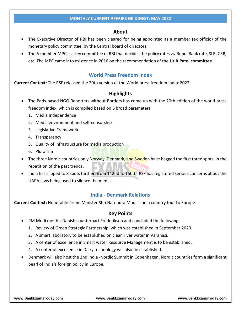### **About**

- The Executive Director of RBI has been cleared for being appointed as a member (ex officio) of the monetary policy committee, by the Central board of directors.
- The 6-member MPC is a key committee of RBI that decides the policy rates viz Repo, Bank rate, SLR, CRR, etc. The MPC came into existence in 2016 on the recommendation of the **Urjit Patel committee.**

### **World Press Freedom Index**

<span id="page-11-0"></span>**Current Context:** The RSF released the 20th version of the World press freedom Index 2022.

### **Highlights**

- The Paris-based NGO Reporters without Borders has come up with the 20th edition of the world press freedom index, which is compiled based on 6 broad parameters.
	- 1. Media Independence
	- 2. Media environment and self-censorship
	- 3. Legislative Framework
	- 4. Transparency
	- 5. Quality of Infrastructure for media production
	- 6. Pluralism
- The three Nordic countries only Norway, Denmark, and Sweden have bagged the first three spots, in the repetition of the past trends.
- India has slipped to 8 spots further, from 142nd to 150th. RSF has registered serious concerns about the UAPA laws being used to silence the media.

### **India - Denmark Relations**

<span id="page-11-1"></span>**Current Context:** Honorable Prime Minister Shri Narendra Modi is on a country tour to Europe.

### **Key Points**

- PM Modi met his Danish counterpart Frederiksen and concluded the following.
	- 1. Review of Green Strategic Partnership, which was established in September 2020.
	- 2. A smart laboratory to be established on clean river water in Varanasi.
	- 3. A center of excellence in Smart water Resource Management is to be established.
	- 4. A center of excellence in Dairy technology will also be established.
- Denmark will also host the 2nd India -Nordic Summit in Copenhagen. Nordic countries form a significant pearl of India's foreign policy in Europe.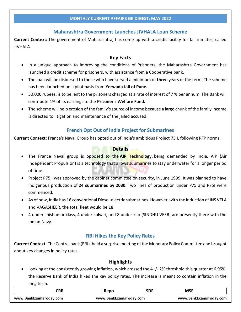# **Maharashtra Government Launches JIVHALA Loan Scheme**

<span id="page-12-0"></span>**Current Context:** The government of Maharashtra, has come up with a credit facility for Jail inmates, called JIVHALA.

# **Key Facts**

- In a unique approach to improving the conditions of Prisoners, the Maharashtra Government has launched a credit scheme for prisoners, with assistance from a Cooperative bank.
- The loan will be disbursed to those who have served a minimum of **three** years of the term. The scheme has been launched on a pilot basis from **Yerwada Jail of Pune.**
- 50,000 rupees, is to be lent to the prisoners charged at a rate of interest of 7 % per annum. The Bank will contribute 1% of its earnings to the **Prisoner's Welfare Fund.**
- The scheme will help erosion of the family's source of income because a large chunk of the family income is directed to litigation and maintenance of the jailed accused.

# **French Opt Out of India Project for Submarines**

<span id="page-12-1"></span>**Current Context:** France's Naval Group has opted out of India's ambitious Project 75 I, following RFP norms.

# **Details**

- The France Naval group is opposed to the **AIP Technology,** being demanded by India. AIP (Air Independent Propulsion) is a technology that allows submarines to stay underwater for a longer period of time.
- Project P75 I was approved by the cabinet committee on security, in June 1999. It was planned to have indigenous production of **24 submarines by 2030.** Two lines of production under P75 and P75I were commenced.
- As of now, India has 16 conventional Diesel-electric submarines. However, with the induction of INS VELA and VAGASHEER, the total fleet would be 18.
- 4 under shishumar class, 4 under kalvari, and 8 under kilo (SINDHU VEER) are presently there with the Indian Navy.

# **RBI Hikes the Key Policy Rates**

<span id="page-12-2"></span>**Current Context:** The Central bank (RBI), held a surprise meeting of the Monetary Policy Committee and brought about key changes in policy rates.

# **Highlights**

Looking at the consistently growing inflation, which crossed the 4+/-2% threshold this quarter at 6.95%, the Reserve Bank of India hiked the key policy rates. The increase is meant to contain inflation in the long term.

|                        | <b>CRR</b> | Repo                   | <b>SDF</b> | <b>MSF</b>             |
|------------------------|------------|------------------------|------------|------------------------|
| www.BankExamsToday.com |            | www.BankExamsToday.com |            | www.BankExamsToday.com |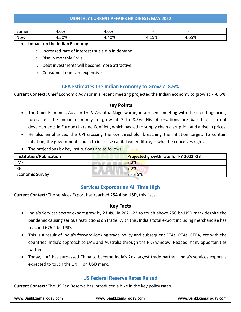| $\overline{\phantom{a}}$<br>- 251125<br>не<br>Lui | 1.0% | $.0\%$<br>___ | $\sim$               | $\sim$ |
|---------------------------------------------------|------|---------------|----------------------|--------|
| Now                                               | 50%  | 40%           | r oz<br>$\mathbf{r}$ | .65%   |

### **Impact on the Indian Economy**

- o Increased rate of interest thus a dip in demand
- o Rise in monthly EMIs
- o Debt investments will become more attractive
- o Consumer Loans are expensive

### **CEA Estimates the Indian Economy to Grow 7- 8.5%**

<span id="page-13-0"></span>**Current Context:** Chief Economic Advisor in a recent meeting projected the Indian economy to grow at 7 -8.5%.

### **Key Points**

- The Chief Economic Advisor Dr. V Anantha Nageswaran, in a recent meeting with the credit agencies, forecasted the Indian economy to grow at 7 to 8.5%. His observations are based on current developments in Europe (Ukraine Conflict), which has led to supply chain disruption and a rise in prices.
- He also emphasized the CPI crossing the 6% threshold, breaching the inflation target. To contain inflation, the government's push to increase capital expenditure, is what he conceives right.
- The projections by key institutions are as follows.

| <b>Institution/Publication</b> | Projected growth rate for FY 2022 -23 |
|--------------------------------|---------------------------------------|
| <b>IMF</b>                     | 8.2%                                  |
| <b>RBI</b>                     | .2%                                   |
| <b>Economic Survey</b>         | $8 - 8.5%$                            |

### **Services Export at an All Time High**

<span id="page-13-1"></span>**Current Context:** The services Export has reached **254.4 bn USD,** this fiscal.

### **Key Facts**

- India's Services sector export grew by **23.4%,** in 2021-22 to touch above 250 bn USD mark despite the pandemic causing serious restrictions on trade. With this, India's total export including merchandise has reached 676.2 bn USD.
- This is a result of India's forward-looking trade policy and subsequent FTAs, PTAs, CEPA, etc with the countries. India's approach to UAE and Australia through the FTA window. Reaped many opportunities for her.
- Today, UAE has surpassed China to become India's 2ns largest trade partner. India's services export is expected to touch the 1 trillion USD mark.

# **US Federal Reserve Rates Raised**

<span id="page-13-2"></span>**Current Context:** The US Fed Reserve has introduced a hike in the key policy rates.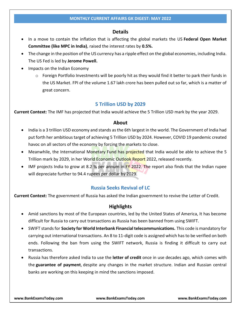### **Details**

- In a move to contain the inflation that is affecting the global markets the US Federal Open Market **Committee (like MPC in India)**, raised the interest rates by **0.5%.**
- The change in the position of the US currency has a ripple effect on the global economies, including India. The US Fed is led by **Jerome Powell.**
- Impacts on the Indian Economy
	- $\circ$  Foreign Portfolio Investments will be poorly hit as they would find it better to park their funds in the US Market. FPI of the volume 1.67 lakh crore has been pulled out so far, which is a matter of great concern.

### **5 Trillion USD by 2029**

<span id="page-14-0"></span>**Current Context:** The IMF has projected that India would achieve the 5 Trillion USD mark by the year 2029.

### **About**

- India is a 3 trillion USD economy and stands as the 6th largest in the world. The Government of India had put forth her ambitious target of achieving 5 Trillion USD by 2024. However, COVID 19 pandemic created havoc on all sectors of the economy by forcing the markets to close.
- Meanwhile, the International Monetary Fund has projected that India would be able to achieve the 5 Trillion mark by 2029, in her World Economic Outlook Report 2022, released recently.
- <span id="page-14-1"></span> $\bullet$  IMF projects India to grow at 8.2 % per annum in FY 2022. The report also finds that the Indian rupee will depreciate further to 94.4 rupees per dollar by 2029.

### **Russia Seeks Revival of LC**

**Current Context:** The government of Russia has asked the Indian government to revive the Letter of Credit.

### **Highlights**

- Amid sanctions by most of the European countries, led by the United States of America, It has become difficult for Russia to carry out transactions as Russia has been banned from using SWIFT.
- SWIFT stands for **Society for World Interbank Financial telecommunications.** This code is mandatory for carrying out international transactions. An 8 to 11-digit code is assigned which has to be verified on both ends. Following the ban from using the SWIFT network, Russia is finding it difficult to carry out transactions.
- Russia has therefore asked India to use the **letter of credit** once in use decades ago, which comes with the **guarantee of payment**, despite any changes in the market structure. Indian and Russian central banks are working on this keeping in mind the sanctions imposed.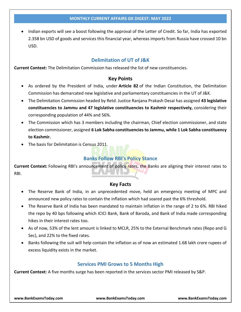Indian exports will see a boost following the approval of the Letter of Credit. So far, India has exported 2.358 bn USD of goods and services this financial year, whereas imports from Russia have crossed 10 bn USD.

# **Delimitation of UT of J&K**

<span id="page-15-0"></span>**Current Context:** The Delimitation Commission has released the list of new constituencies.

### **Key Points**

- As ordered by the President of India, under **Article 82** of the Indian Constitution, the Delimitation Commission has demarcated new legislative and parliamentary constituencies in the UT of J&K.
- The Delimitation Commission headed by Retd. Justice Ranjana Prakash Desai has assigned **43 legislative constituencies to Jammu and 47 legislative constituencies to Kashmir respectively,** considering their corresponding population of 44% and 56%.
- The Commission which has 3 members including the chairman, Chief election commissioner, and state election commissioner, assigned **6 Lok Sabha constituencies to Jammu, while 1 Lok Sabha constituency to Kashmir.**
- <span id="page-15-1"></span>The basis for Delimitation is Census 2011.

# **Banks Follow RBI's Policy Stance**

**Current Context:** Following RBI's announcement of policy rates, the Banks are aligning their interest rates to RBI.

### **Key Facts**

- The Reserve Bank of India, in an unprecedented move, held an emergency meeting of MPC and announced new policy rates to contain the inflation which had soared past the 6% threshold.
- The Reserve Bank of India has been mandated to maintain inflation in the range of 2 to 6%. RBI hiked the repo by 40 bps following which ICICI Bank, Bank of Baroda, and Bank of India made corresponding hikes in their interest rates too.
- As of now, 53% of the lent amount is linked to MCLR, 25% to the External Benchmark rates (Repo and G Sec), and 22% to the fixed rates.
- Banks following the suit will help contain the inflation as of now an estimated 1.68 lakh crore rupees of excess liquidity exists in the market.

### **Services PMI Grows to 5 Months High**

<span id="page-15-2"></span>**Current Context:** A five months surge has been reported in the services sector PMI released by S&P.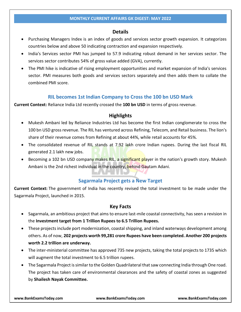### **Details**

- Purchasing Managers Index is an index of goods and services sector growth expansion. It categorizes countries below and above 50 indicating contraction and expansion respectively.
- India's Services sector PMI has jumped to 57.9 indicating robust demand in her services sector. The services sector contributes 54% of gross value added (GVA), currently.
- The PMI hike is indicative of rising employment opportunities and market expansion of India's services sector. PMI measures both goods and services sectors separately and then adds them to collate the combined PMI score.

### **RIL becomes 1st Indian Company to Cross the 100 bn USD Mark**

<span id="page-16-0"></span>**Current Context:** Reliance India Ltd recently crossed the **100 bn USD** in terms of gross revenue.

### **Highlights**

- Mukesh Ambani led by Reliance Industries Ltd has become the first Indian conglomerate to cross the 100 bn USD gross revenue. The RIL has ventured across Refining, Telecom, and Retail business. The lion's share of their revenue comes from Refining at about 44%, while retail accounts for 45%.
- The consolidated revenue of RIL stands at 7.92 lakh crore Indian rupees. During the last fiscal RIL generated 2.1 lakh new jobs.
- Becoming a 102 bn USD company makes RIL, a significant player in the nation's growth story. Mukesh Ambani is the 2nd richest individual in the country, behind Gautam Adani.

### **Sagarmala Project gets a New Target**

<span id="page-16-1"></span>**Current Context:** The government of India has recently revised the total investment to be made under the Sagarmala Project, launched in 2015.

### **Key Facts**

- Sagarmala, an ambitious project that aims to ensure last-mile coastal connectivity, has seen a revision in the **Investment target from 1 Trillion Rupees to 6.5 Trillion Rupees.**
- These projects include port modernization, coastal shipping, and inland waterways development among others. As of now, **202 projects worth 99,281 crore Rupees have been completed. Another 200 projects worth 2.2 trillion are underway.**
- The inter-ministerial committee has approved 735 new projects, taking the total projects to 1735 which will augment the total investment to 6.5 trillion rupees.
- The Sagarmala Project is similar to the Golden Quadrilateral that saw connecting India through One road. The project has taken care of environmental clearances and the safety of coastal zones as suggested by **Shailesh Nayak Committee.**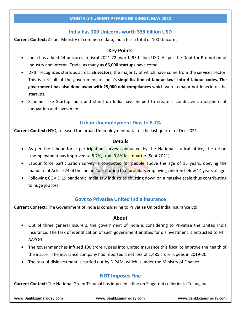# **India has 100 Unicorns worth 333 billion USD**

<span id="page-17-0"></span>**Current Context:** As per Ministry of commerce data, India has a total of 100 Unicorns.

### **Key Points**

- India has added 44 unicorns in fiscal 2021-22, worth 93 billion USD. As per the Dept for Promotion of Industry and Internal Trade, as many as **66,000 startups** have come.
- DPIIT recognizes startups across **56 sectors,** the majority of which have come from the services sector. This is a result of the government of India's **simplification of labour laws into 4 labour codes. The government has also done away with 25,000 odd compliances** which were a major bottleneck for the startups.
- Schemes like Startup India and stand up India have helped to create a conducive atmosphere of innovation and investment.

# **Urban Unemployment Dips to 8.7%**

<span id="page-17-1"></span>**Current Context:** NSO, released the urban Unemployment data for the last quarter of Dec 2021.

### **Details**

- As per the labour force participation survey conducted by the National statical office, the urban Unemployment has improved to 8.7%, from 9.8% last quarter (Sept 2021).
- Labour force participation survey is conducted for people above the age of 15 years, obeying the mandate of Article 24 of the Indian Constitution that prohibits employing children below 14 years of age.
- Following COVID 19 pandemic, India saw industries shutting down on a massive scale thus contributing to huge job loss.

### **Govt to Privatise United India Insurance**

<span id="page-17-2"></span>**Current Context:** The Government of India is considering to Privatise United India Insurance Ltd.

### **About**

- Out of three general insurers, the government of India is considering to Privatise the United India Insurance. The task of identification of such government entities for disinvestment is entrusted to NITI AAYOG.
- The government has infused 100 crore rupees into United Insurance this fiscal to improve the health of the insurer. The insurance company had reported a net loss of 1,485 crore rupees in 2019-20.
- <span id="page-17-3"></span>The task of disinvestment is carried out by DIPAM, which is under the Ministry of Finance.

### **NGT Imposes Fine**

**Current Context:** The National Green Tribunal has imposed a fine on Singareni collieries in Telangana.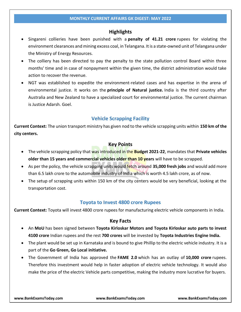# **Highlights**

- Singareni collieries have been punished with a **penalty of 41.21 crore** rupees for violating the environment clearances and mining excess coal, in Telangana. It is a state-owned unit of Telangana under the Ministry of Energy Resources.
- The colliery has been directed to pay the penalty to the state pollution control Board within three months' time and in case of nonpayment within the given time, the district administration would take action to recover the revenue.
- NGT was established to expedite the environment-related cases and has expertise in the arena of environmental justice. It works on the **principle of Natural justice.** India is the third country after Australia and New Zealand to have a specialized court for environmental justice. The current chairman is Justice Adarsh. Goel.

# **Vehicle Scrapping Facility**

<span id="page-18-0"></span>**Current Context:** The union transport ministry has given nod to the vehicle scrapping units within **150 km of the city centers.**

### **Key Points**

- The vehicle scrapping policy that was introduced in the **Budget 2021-22**, mandates that **Private vehicles older than 15 years and commercial vehicles older than 10 years** will have to be scrapped.
- As per the policy, the vehicle scrapping units would fetch around **35,000 fresh jobs** and would add more than 6.5 lakh crore to the automobile industry of India which is worth 4.5 lakh crore, as of now.
- The setup of scrapping units within 150 km of the city centers would be very beneficial, looking at the transportation cost.

### **Toyota to Invest 4800 crore Rupees**

<span id="page-18-1"></span>**Current Context:** Toyota will invest 4800 crore rupees for manufacturing electric vehicle components in India.

### **Key Facts**

- An **MoU** has been signed between **Toyota Kirloskar Motors and Toyota Kirloskar auto parts to invest 4100 crore** Indian rupees and the rest **700 crores** will be invested by **Toyota Industries Engine India.**
- The plant would be set up in Karnataka and is bound to give Phillip to the electric vehicle industry. It is a part of the **Go Green, Go Local initiative.**
- The Government of India has approved the **FAME 2.0** which has an outlay of **10,000 crore** rupees. Therefore this investment would help in faster adoption of electric vehicle technology. It would also make the price of the electric Vehicle parts competitive, making the industry more lucrative for buyers.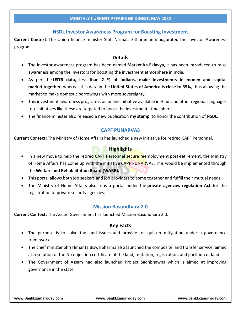### **NSDL Investor Awareness Program for Boasting Investment**

<span id="page-19-0"></span>**Current Context:** The Union finance minister Smt. Nirmala Sitharaman inaugurated the Investor Awareness program.

### **Details**

- The Investor awareness program has been named **Market ka Eklavya,** it has been introduced to raise awareness among the investors for boosting the investment atmosphere in India.
- As per the **USTR data, less than 2 % of Indians, make investments in money and capital market together,** whereas this data in the **United States of America is close to 35%**, thus allowing the market to make domestic borrowings with more sovereignty.
- This investment awareness program is an online initiative available in Hindi and other regional languages too. Initiatives like these are targeted to boost the investment atmosphere.
- <span id="page-19-1"></span>The finance minister also released a new publication **my stamp**, to honor the contribution of NSDL.

### **CAPF PUNARVAS**

**Current Context:** The Ministry of Home Affairs has launched a new initiative for retired CAPF Personnel.

### **Highlights**

- In a new move to help the retired CAPF Personnel secure reemployment post-retirement, the Ministry of Home Affairs has come up with the initiative CAPF PUNARVAS. This would be implemented through the **Welfare and Rehabilitation Board (WARB).**
- This portal allows both job seekers and job providers to come together and fulfill their mutual needs.
- The Ministry of Home Affairs also runs a portal under the **private agencies regulation Act**, for the registration of private security agencies.

### **Mission Basundhara 2.0**

<span id="page-19-2"></span>**Current Context:** The Assam Government has launched Mission Basundhara 2.0.

### **Key Facts**

- The purpose is to solve the land issues and provide for quicker mitigation under a governance framework.
- The chief minister Shri Himanta Biswa Sharma also launched the composite land transfer service, aimed at resolution of the No objection certificate of the land, mutation, registration, and partition of land.
- The Government of Assam had also launched Project Sadhbhawna which is aimed at improving governance in the state.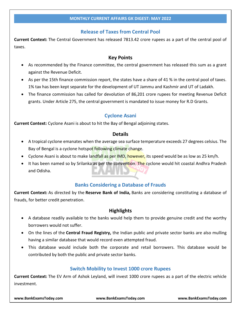# **Release of Taxes from Central Pool**

<span id="page-20-0"></span>**Current Context:** The Central Government has released 7813.42 crore rupees as a part of the central pool of taxes.

### **Key Points**

- As recommended by the Finance committee, the central government has released this sum as a grant against the Revenue Deficit.
- As per the 15th finance commission report, the states have a share of 41 % in the central pool of taxes. 1% tax has been kept separate for the development of UT Jammu and Kashmir and UT of Ladakh.
- The finance commission has called for devolution of 86,201 crore rupees for meeting Revenue Deficit grants. Under Article 275, the central government is mandated to issue money for R.D Grants.

# **Cyclone Asani**

<span id="page-20-1"></span>**Current Context:** Cyclone Asani is about to hit the Bay of Bengal adjoining states.

### **Details**

- A tropical cyclone emanates when the average sea surface temperature exceeds 27 degrees celsius. The Bay of Bengal is a cyclone hotspot following climate change.
- Cyclone Asani is about to make landfall as per IMD, however, its speed would be as low as 25 km/h.
- It has been named so by Srilanka as per the convention. The cyclone would hit coastal Andhra Pradesh and Odisha.

# **Banks Considering a Database of Frauds**

<span id="page-20-2"></span>**Current Context:** As directed by the **Reserve Bank of India,** Banks are considering constituting a database of frauds, for better credit penetration.

### **Highlights**

- A database readily available to the banks would help them to provide genuine credit and the worthy borrowers would not suffer.
- On the lines of the **Central Fraud Registry,** the Indian public and private sector banks are also mulling having a similar database that would record even attempted fraud.
- This database would include both the corporate and retail borrowers. This database would be contributed by both the public and private sector banks.

### **Switch Mobility to Invest 1000 crore Rupees**

<span id="page-20-3"></span>**Current Context:** The EV Arm of Ashok Leyland, will invest 1000 crore rupees as a part of the electric vehicle investment.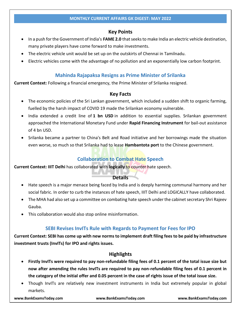# **Key Points**

- In a push for the Government of India's **FAME 2.0** that seeks to make India an electric vehicle destination, many private players have come forward to make investments.
- The electric vehicle unit would be set up on the outskirts of Chennai in Tamilnadu.
- <span id="page-21-0"></span>Electric vehicles come with the advantage of no pollution and an exponentially low carbon footprint.

# **Mahinda Rajapaksa Resigns as Prime Minister of Srilanka**

**Current Context:** Following a financial emergency, the Prime Minister of Srilanka resigned.

### **Key Facts**

- The economic policies of the Sri Lankan government, which included a sudden shift to organic farming, fuelled by the harsh impact of COVID 19 made the Srilankan economy vulnerable.
- India extended a credit line of **1 bn USD** in addition to essential supplies. Srilankan government approached the International Monetary Fund under **Rapid Financing Instrument** for bail-out assistance of 4 bn USD.
- Srilanka became a partner to China's Belt and Road initiative and her borrowings made the situation even worse, so much so that Srilanka had to lease **Hambantota port** to the Chinese government.

# **Collaboration to Combat Hate Speech**

<span id="page-21-1"></span>**Current Context: IIIT Delhi** has collaborated with **logically** to counter hate speech.

### **Details**

- Hate speech is a major menace being faced by India and is deeply harming communal harmony and her social fabric. In order to curb the instances of hate speech, IIIT Delhi and LOGICALLY have collaborated.
- The MHA had also set up a committee on combating hate speech under the cabinet secretary Shri Rajeev Gauba.
- <span id="page-21-2"></span>This collaboration would also stop online misinformation.

# **SEBI Revises InvITs Rule with Regards to Payment for Fees for IPO**

**Current Context: SEBI has come up with new norms to implement draft filing fees to be paid by infrastructure investment trusts (InvITs) for IPO and rights issues.**

# **Highlights**

- **Firstly InvITs were required to pay non-refundable filing fees of 0.1 percent of the total issue size but now after amending the rules InvITs are required to pay non-refundable filing fees of 0.1 percent in the category of the initial offer and 0.05 percent in the case of rights issue of the total issue size.**
- Though InvITs are relatively new investment instruments in India but extremely popular in global markets.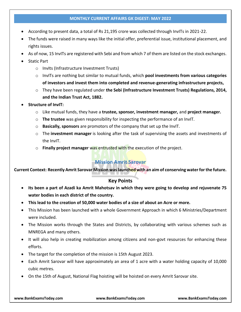- According to present data, a total of Rs 21,195 crore was collected through InvITs in 2021-22.
- The funds were raised in many ways like the initial offer, preferential issue, institutional placement, and rights issues.
- As of now, 15 InvITs are registered with Sebi and from which 7 of them are listed on the stock exchanges.
- Static Part
	- o InvIts (Infrastructure Investment Trusts)
	- o InvITs are nothing but similar to mutual funds, which **pool investments from various categories of investors and invest them into completed and revenue-generating infrastructure projects,**
	- o They have been regulated under **the Sebi (Infrastructure Investment Trusts) Regulations, 2014, and the Indian Trust Act, 1882.**
- **Structure of InvIT:**
	- o Like mutual funds, they have a **trustee, sponsor, investment manager,** and **project manager.**
	- o **The trustee** was given responsibility for inspecting the performance of an InvIT.
	- o **Basically, sponsors** are promotors of the company that set up the InvIT.
	- o The **investment manager** is looking after the task of supervising the assets and investments of the InvIT.
	- o **Finally project manager** was entrusted with the execution of the project.

# **Mission Amrit Sarovar**

<span id="page-22-0"></span>**Current Context: Recently Amrit Sarovar Mission was launched with an aim of conserving water for the future.**

### **Key Points**

- **Its been a part of Azadi ka Amrit Mahotsav in which they were going to develop and rejuvenate 75 water bodies in each district of the country.**
- **This lead to the creation of 50,000 water bodies of a size of about an Acre or more.**
- This Mission has been launched with a whole Government Approach in which 6 Ministries/Department were included.
- The Mission works through the States and Districts, by collaborating with various schemes such as MNREGA and many others.
- It will also help in creating mobilization among citizens and non-govt resources for enhancing these efforts.
- The target for the completion of the mission is 15th August 2023.
- Each Amrit Sarovar will have approximately an area of 1 acre with a water holding capacity of 10,000 cubic metres.
- On the 15th of August, National Flag hoisting will be hoisted on every Amrit Sarovar site.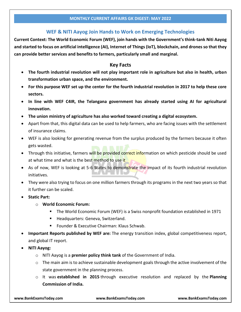# **WEF & NITI Aayog Join Hands to Work on Emerging Technologies**

<span id="page-23-0"></span>**Current Context: The World Economic Forum (WEF), join hands with the Government's think-tank Niti Aayog and started to focus on artificial intelligence (AI), Internet of Things (IoT), blockchain, and drones so that they can provide better services and benefits to farmers, particularly small and marginal.**

### **Key Facts**

- **The fourth industrial revolution will not play important role in agriculture but also in health, urban transformation urban space, and the environment.**
- **For this purpose WEF set up the center for the fourth industrial revolution in 2017 to help these core sectors.**
- **In line with WEF C4IR, the Telangana government has already started using AI for agricultural innovation.**
- **The union ministry of agriculture has also worked toward creating a digital ecosystem.**
- Apart from that, this digital data can be used to help farmers, who are facing issues with the settlement of insurance claims.
- WEF is also looking for generating revenue from the surplus produced by the farmers because it often gets wasted.
- Through this initiative, farmers will be provided correct information on which pesticide should be used at what time and what is the best method to use it
- As of now, WEF is looking at 5-6 States to demonstrate the impact of its fourth industrial revolution initiatives.
- They were also trying to focus on one million farmers through its programs in the next two years so that it further can be scaled.
- **Static Part:**
	- o **World Economic Forum:**
		- The World Economic Forum (WEF) is a Swiss nonprofit foundation established in 1971
		- **Headquarters: Geneva, Switzerland.**
		- Founder & Executive Chairman: Klaus Schwab.
- **Important Reports published by WEF are:** The energy transition index, global competitiveness report, and global IT report.
- **NITI Aayog:**
	- o NITI Aayog is a **premier policy think tank** of the Government of India.
	- $\circ$  The main aim is to achieve sustainable development goals through the active involvement of the state government in the planning process.
	- o It was **established in 2015** through executive resolution and replaced by the **Planning Commission of India.**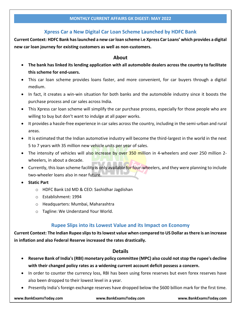# **Xpress Car a New Digital Car Loan Scheme Launched by HDFC Bank**

<span id="page-24-0"></span>**Current Context: HDFC Bank has launched a new car loan scheme i.e Xpress Car Loans' which provides a digital new car loan journey for existing customers as well as non-customers.**

# **About**

- **The bank has linked its lending application with all automobile dealers across the country to facilitate this scheme for end-users.**
- This car loan scheme provides loans faster, and more convenient, for car buyers through a digital medium.
- In fact, it creates a win-win situation for both banks and the automobile industry since it boosts the purchase process and car sales across India.
- This Xpress car loan scheme will simplify the car purchase process, especially for those people who are willing to buy but don't want to indulge at all paper works.
- It provides a hassle-free experience in car sales across the country, including in the semi-urban and rural areas.
- It is estimated that the Indian automotive industry will become the third-largest in the world in the next 5 to 7 years with 35 million new vehicle units per year of sales.
- The intensity of vehicles will also increase by over 350 million in 4-wheelers and over 250 million 2wheelers, in about a decade.
- Currently, this loan scheme facility is only available for four-wheelers, and they were planning to include two-wheeler loans also in near future.
- **Static Part**
	- o HDFC Bank Ltd MD & CEO: Sashidhar Jagdishan
	- o Establishment: 1994
	- o Headquarters: Mumbai, Maharashtra
	- o Tagline: We Understand Your World.

# **Rupee Slips into its Lowest Value and its Impact on Economy**

<span id="page-24-1"></span>**Current Context: The Indian Rupee slips to its lowest value when compared to US Dollar as there is an increase in inflation and also Federal Reserve increased the rates drastically.**

# **Details**

- **Reserve Bank of India's (RBI) monetary policy committee (MPC) also could not stop the rupee's decline with their changed policy rates as a widening current account deficit possess a concern.**
- In order to counter the currency loss, RBI has been using forex reserves but even forex reserves have also been dropped to their lowest level in a year.
- Presently India's foreign exchange reserves have dropped below the \$600 billion mark for the first time.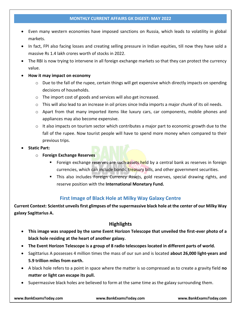- Even many western economies have imposed sanctions on Russia, which leads to volatility in global markets.
- In fact, FPI also facing losses and creating selling pressure in Indian equities, till now they have sold a massive Rs 1.4 lakh crores worth of stocks in 2022.
- The RBI is now trying to intervene in all foreign exchange markets so that they can protect the currency value.
- **How it may impact on economy**
	- $\circ$  Due to the fall of the rupee, certain things will get expensive which directly impacts on spending decisions of households.
	- o The import cost of goods and services will also get increased.
	- $\circ$  This will also lead to an increase in oil prices since India imports a major chunk of its oil needs.
	- o Apart from that many imported items like luxury cars, car components, mobile phones and appliances may also become expensive.
	- $\circ$  It also impacts on tourism sector which contributes a major part to economic growth due to the fall of the rupee. Now tourist people will have to spend more money when compared to their previous trips.
- **Static Part:**
	- o **Foreign Exchange Reserves**
		- Foreign exchange reserves are such assets held by a central bank as reserves in foreign currencies, which can include bonds, treasury bills, and other government securities.
		- This also includes Foreign Currency Assets, gold reserves, special drawing rights, and reserve position with the **International Monetary Fund.**

# **First Image of Black Hole at Milky Way Galaxy Centre**

<span id="page-25-0"></span>**Current Context: Scientist unveils first glimpses of the supermassive black hole at the center of our Milky Way galaxy Sagittarius A.**

# **Highlights**

- **This image was snapped by the same Event Horizon Telescope that unveiled the first-ever photo of a black hole residing at the heart of another galaxy.**
- **The Event Horizon Telescope is a group of 8 radio telescopes located in different parts of world.**
- Sagittarius A possesses 4 million times the mass of our sun and is located **about 26,000 light-years and 5.9 trillion miles from earth.**
- A black hole refers to a point in space where the matter is so compressed as to create a gravity field **no matter or light can escape its pull.**
- Supermassive black holes are believed to form at the same time as the galaxy surrounding them.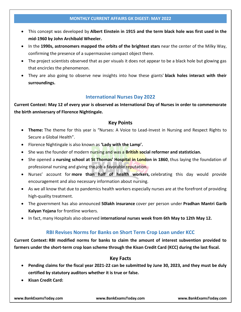- This concept was developed by **Albert Einstein in 1915 and the term black hole was first used in the mid-1960 by John Archibald Wheeler.**
- In the **1990s, astronomers mapped the orbits of the brightest stars** near the center of the Milky Way, confirming the presence of a supermassive compact object there.
- The project scientists observed that as per visuals it does not appear to be a black hole but glowing gas that encircles the phenomenon.
- They are also going to observe new insights into how these giants' **black holes interact with their surroundings.**

# **International Nurses Day 2022**

<span id="page-26-0"></span>**Current Context: May 12 of every year is observed as International Day of Nurses in order to commemorate the birth anniversary of Florence Nightingale.**

### **Key Points**

- **Theme:** The theme for this year is "Nurses: A Voice to Lead-Invest in Nursing and Respect Rights to Secure a Global Health".
- Florence Nightingale is also known as **'Lady with the Lamp'.**
- She was the founder of modern nursing and was a **British social reformer and statistician.**
- She opened a **nursing school at St Thomas' Hospital in London in 1860**, thus laying the foundation of professional nursing and giving the job a favorable reputation.
- Nurses' account for **more than half of health workers,** celebrating this day would provide encouragement and also necessary information about nursing.
- As we all know that due to pandemics health workers especially nurses are at the forefront of providing high-quality treatment.
- The government has also announced **50lakh insurance** cover per person under **Pradhan Mantri Garib Kalyan Yojana** for frontline workers.
- <span id="page-26-1"></span>In fact, many Hospitals also observed **international nurses week from 6th May to 12th May 12.**

# **RBI Revises Norms for Banks on Short Term Crop Loan under KCC**

**Current Context: RBI modified norms for banks to claim the amount of interest subvention provided to farmers under the short-term crop loan scheme through the Kisan Credit Card (KCC) during the last fiscal.**

# **Key Facts**

- **Pending claims for the fiscal year 2021-22 can be submitted by June 30, 2023, and they must be duly certified by statutory auditors whether it is true or false.**
- **Kisan Credit Card:**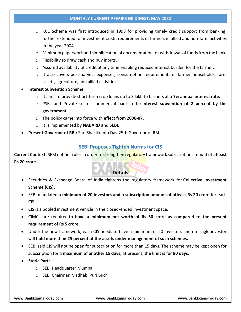- $\circ$  KCC Scheme was first introduced in 1998 for providing timely credit support from banking, further extended for investment credit requirements of farmers in allied and non-farm activities in the year 2004.
- $\circ$  Minimum paperwork and simplification of documentation for withdrawal of funds from the bank.
- o Flexibility to draw cash and buy inputs.
- $\circ$  Assured availability of credit at any time enabling reduced interest burden for the farmer.
- $\circ$  It also covers post-harvest expenses, consumption requirements of farmer households, farm assets, agriculture, and allied activities.
- **Interest Subvention Scheme**
	- o It aims to provide short-term crop loans up to 3 lakh to farmers at a **7% annual interest rate.**
	- o PSBs and Private sector commercial banks offer **interest subvention of 2 percent by the government.**
	- o The policy came into force with **effect from 2006-07.**
	- o It is implemented by **NABARD and SEBI.**
- <span id="page-27-0"></span>**Present Governor of RBI:** Shri Shaktikanta Das-25th Governor of RBI.

### **SEBI Proposes Tighten Norms for CIS**

**Current Context:** SEBI notifies rules in order to strengthen regulatory framework subscription amount of **atleast Rs 20 crore.**

# **Details**

- Securities & Exchange Board of India tightens the regulatory framework for **Collective Investment Scheme (CIS).**
- SEBI mandated a **minimum of 20 investors and a subscription amount of atleast Rs 20 crore** for each CIS.
- CIS is a pooled investment vehicle in the closed-ended investment space.
- CIMCs are required **to have a minimum net worth of Rs 50 crore as compared to the present requirement of Rs 5 crore.**
- Under the new framework, each CIS needs to have a minimum of 20 investors and no single investor will **hold more than 25 percent of the assets under management of such schemes.**
- SEBI said CIS will not be open for subscription for more than 15 days. The scheme may be kept open for subscription for a **maximum of another 15 days,** at present, **the limit is for 90 days.**
- **Static Part:** 
	- o SEBI Headquarter Mumbai
	- o SEBI Chairman Madhabi Puri Buch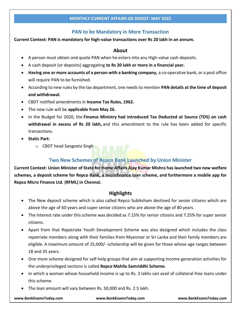# **PAN to be Mandatory in More Transaction**

### <span id="page-28-0"></span>**Current Context: PAN is mandatory for high-value transactions over Rs 20 lakh in an annum.**

### **About**

- A person must obtain and quote PAN when he enters into any High-value cash deposits.
- A cash deposit (or deposits) aggregating **to Rs 20 lakh or more in a financial year.**
- **Having one or more accounts of a person with a banking company,** a co-operative bank, or a post office will require PAN to be furnished.
- According to new rules by the tax department, one needs to mention **PAN details at the time of deposit and withdrawal.**
- CBDT notified amendments in **Income Tax Rules, 1962.**
- The new rule will be **applicable from May 26.**
- In the Budget for 2020, the **Finance Ministry had introduced Tax Deducted at Source (TDS) on cash withdrawal in excess of Rs 20 lakh,** and this amendment to the rule has been added for specific transactions.
- **Static Part:**
	- o CBDT head Sangeeta Singh

### **Two New Schemes of Repco Bank Launched by Union Minister**

<span id="page-28-1"></span>**Current Context: Union Minister of State for Home Affairs Ajay Kumar Mishra has launched two new welfare schemes, a deposit scheme for Repco Bank, a microfinance loan scheme, and furthermore a mobile app for Repco Micro Finance Ltd. (RFML) in Chennai.**

### **Highlights**

- The New deposit scheme which is also called Repco Subiksham destined for senior citizens which are above the age of 60 years and super senior citizens who are above the age of 80 years.
- The Interest rate under this scheme was decided as 7.15% for senior citizens and 7.25% for super senior citizens.
- Apart from that Repatriate Youth Development Scheme was also designed which includes the class repatriate members along with their families from Myanmar or Sri Lanka and their family members are eligible. A maximum amount of 25,000/- scholarship will be given for those whose age ranges between 18 and 35 years.
- One more scheme designed for self-help groups that aim at supporting income generation activities for the underprivileged sections is called **Repco Mahila Samriddhi Scheme.**
- In which a woman whose household income is up to Rs. 3 lakhs can avail of collateral-free loans under this scheme.
- The loan amount will vary between Rs. 50,000 and Rs. 2.5 lakh.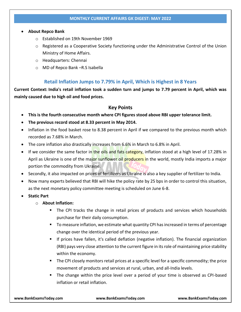### **About Repco Bank**

- o Established on 19th November 1969
- $\circ$  Registered as a Cooperative Society functioning under the Administrative Control of the Union Ministry of Home Affairs.
- o Headquarters: Chennai
- o MD of Repco Bank –R.S Isabella

# **Retail Inflation Jumps to 7.79% in April, Which is Highest in 8 Years**

<span id="page-29-0"></span>**Current Context: India's retail inflation took a sudden turn and jumps to 7.79 percent in April, which was mainly caused due to high oil and food prices.**

### **Key Points**

- **This is the fourth consecutive month where CPI figures stood above RBI upper tolerance limit.**
- **The previous record stood at 8.33 percent in May 2014.**
- Inflation in the food basket rose to 8.38 percent in April if we compared to the previous month which recorded as 7.68% in March.
- The core inflation also drastically increases from 6.6% in March to 6.8% in April.
- If we consider the same factor in the oils and fats category, inflation stood at a high level of 17.28% in April as Ukraine is one of the major sunflower oil producers in the world, mostly India imports a major portion the commodity from Ukraine.
- Secondly, it also impacted on prices of fertilizers as Ukraine is also a key supplier of fertilizer to India.
- Now many experts believed that RBI will hike the policy rate by 25 bps in order to control this situation, as the next monetary policy committee meeting is scheduled on June 6-8.
- **Static Part**
	- o **About Inflation:**
		- The CPI tracks the change in retail prices of products and services which households purchase for their daily consumption.
		- To measure inflation, we estimate what quantity CPI has increased in terms of percentage change over the identical period of the previous year.
		- If prices have fallen, it's called deflation (negative inflation). The financial organization (RBI) pays very close attention to the current figure in its role of maintaining price stability within the economy.
		- **The CPI closely monitors retail prices at a specific level for a specific commodity; the price** movement of products and services at rural, urban, and all-India levels.
		- The change within the price level over a period of your time is observed as CPI-based inflation or retail inflation.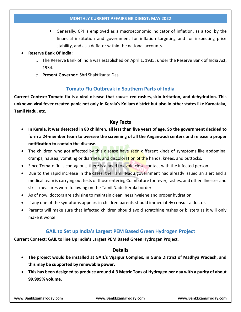Generally, CPI is employed as a macroeconomic indicator of inflation, as a tool by the financial institution and government for inflation targeting and for inspecting price stability, and as a deflator within the national accounts.

### **Reserve Bank Of India:**

- o The Reserve Bank of India was established on April 1, 1935, under the Reserve Bank of India Act, 1934.
- o **Present Governor:** Shri Shaktikanta Das

# **Tomato Flu Outbreak in Southern Parts of India**

<span id="page-30-0"></span>**Current Context: Tomato flu is a viral disease that causes red rashes, skin irritation, and dehydration. This unknown viral fever created panic not only in Kerala's Kollam district but also in other states like Karnataka, Tamil Nadu, etc.**

### **Key Facts**

- **In Kerala, it was detected in 80 children, all less than five years of age. So the government decided to form a 24-member team to oversee the screening of all the Anganwadi centers and release a proper notification to contain the disease.**
- The children who got affected by this disease have seen different kinds of symptoms like abdominal cramps, nausea, vomiting or diarrhea, and discoloration of the hands, knees, and buttocks.
- Since Tomato flu is contagious, there is a need to avoid close contact with the infected person.
- Due to the rapid increase in the cases, the Tamil Nadu government had already issued an alert and a medical team is carrying out tests of those entering Coimbatore for fever, rashes, and other illnesses and strict measures were following on the Tamil Nadu-Kerala border.
- As of now, doctors are advising to maintain cleanliness hygiene and proper hydration.
- If any one of the symptoms appears in children parents should immediately consult a doctor.
- Parents will make sure that infected children should avoid scratching rashes or blisters as it will only make it worse.

### **GAIL to Set up India's Largest PEM Based Green Hydrogen Project**

<span id="page-30-1"></span>**Current Context: GAIL to line Up India's Largest PEM Based Green Hydrogen Project.**

### **Details**

- **The project would be installed at GAIL's Vijaipur Complex, in Guna District of Madhya Pradesh, and this may be supported by renewable power.**
- **This has been designed to produce around 4.3 Metric Tons of Hydrogen per day with a purity of about 99.999% volume.**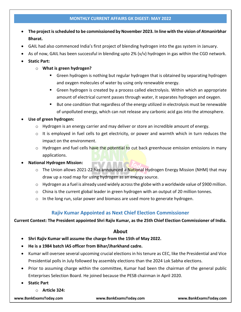- **The project is scheduled to be commissioned by November 2023. In line with the vision of Atmanirbhar Bharat.**
- GAIL had also commenced India's first project of blending hydrogen into the gas system in January.
- As of now, GAIL has been successful in blending upto 2% (v/v) hydrogen in gas within the CGD network.
- **Static Part:**
	- o **What is green hydrogen?**
		- Green hydrogen is nothing but regular hydrogen that is obtained by separating hydrogen and oxygen molecules of water by using only renewable energy.
		- Green hydrogen is created by a process called electrolysis. Within which an appropriate amount of electrical current passes through water, it separates hydrogen and oxygen.
		- But one condition that regardless of the energy utilized in electrolysis must be renewable of unpolluted energy, which can not release any carbonic acid gas into the atmosphere.

### **Use of green hydrogen:**

- $\circ$  Hydrogen is an energy carrier and may deliver or store an incredible amount of energy.
- $\circ$  It is employed in fuel cells to get electricity, or power and warmth which in turn reduces the impact on the environment.
- $\circ$  Hydrogen and fuel cells have the potential to cut back greenhouse emission emissions in many applications.

### **National Hydrogen Mission:**

- o The Union allows 2021-22 has announced a National Hydrogen Energy Mission (NHM) that may draw up a road map for using hydrogen as an energy source.
- $\circ$  Hydrogen as a fuel is already used widely across the globe with a worldwide value of \$900 million.
- $\circ$  China is the current global leader in green hydrogen with an output of 20 million tonnes.
- $\circ$  In the long run, solar power and biomass are used more to generate hydrogen.

# **Rajiv Kumar Appointed as Next Chief Election Commissioner**

### <span id="page-31-0"></span>**Current Context: The President appointed Shri Rajiv Kumar, as the 25th Chief Election Commissioner of India.**

### **About**

- **Shri Rajiv Kumar will assume the charge from the 15th of May 2022.**
- **He is a 1984 batch IAS officer from Bihar/Jharkhand cadre.**
- Kumar will oversee several upcoming crucial elections in his tenure as CEC, like the Presidential and Vice Presidential polls in July followed by assembly elections than the 2024 Lok Sabha elections.
- Prior to assuming charge within the committee, Kumar had been the chairman of the general public Enterprises Selection Board. He joined because the PESB chairman in April 2020.
- **Static Part**
	- o **Article 324:**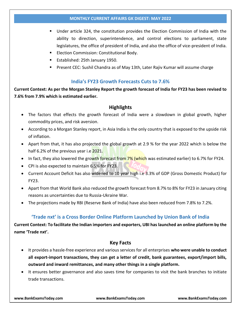- Under article 324, the constitution provides the Election Commission of India with the ability to direction, superintendence, and control elections to parliament, state legislatures, the office of president of India, and also the office of vice-president of India.
- **Election Commission: Constitutional Body.**
- **Established: 25th January 1950.**
- Present CEC: Sushil Chandra as of May 13th, Later Rajiv Kumar will assume charge

# **India's FY23 Growth Forecasts Cuts to 7.6%**

<span id="page-32-0"></span>**Current Context: As per the Morgan Stanley Report the growth forecast of India for FY23 has been revised to 7.6% from 7.9% which is estimated earlier.**

### **Highlights**

- The factors that effects the growth forecast of India were a slowdown in global growth, higher commodity prices, and risk aversion.
- According to a Morgan Stanley report, in Asia India is the only country that is exposed to the upside risk of inflation.
- Apart from that, it has also projected the global growth at 2.9 % for the year 2022 which is below the half 6.2% of the previous year i.e 2021.
- In fact, they also lowered the growth forecast from  $7\%$  (which was estimated earlier) to 6.7% for FY24.
- CPI is also expected to maintain 6.5% for FY23.
- Current Account Deficit has also widened to 10 year high i.e 3.3% of GDP (Gross Domestic Product) for FY23.
- Apart from that World Bank also reduced the growth forecast from 8.7% to 8% for FY23 in January citing reasons as uncertainties due to Russia-Ukraine War.
- <span id="page-32-1"></span>The projections made by RBI (Reserve Bank of India) have also been reduced from 7.8% to 7.2%.

# **'Trade nxt' is a Cross Border Online Platform Launched by Union Bank of India**

**Current Context: To facilitate the Indian importers and exporters, UBI has launched an online platform by the name 'Trade nxt'.**

### **Key Facts**

- It provides a hassle-free experience and various services for all enterprises **who were unable to conduct all export-import transactions, they can get a letter of credit, bank guarantees, export/import bills, outward and inward remittances, and many other things in a single platform.**
- It ensures better governance and also saves time for companies to visit the bank branches to initiate trade transactions.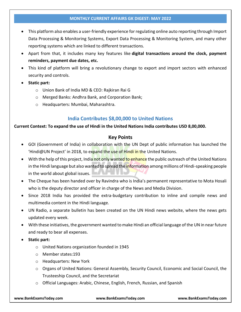- This platform also enables a user-friendly experience for regulating online auto reporting through Import Data Processing & Monitoring Systems, Export Data Processing & Monitoring System, and many other reporting systems which are linked to different transactions.
- Apart from that, it includes many key features like **digital transactions around the clock, payment reminders, payment due dates, etc.**
- This kind of platform will bring a revolutionary change to export and import sectors with enhanced security and controls.
- **Static part:**
	- o Union Bank of India MD & CEO: Rajkiran Rai G
	- o Merged Banks: Andhra Bank, and Corporation Bank;
	- o Headquarters: Mumbai, Maharashtra.

# **India Contributes \$8,00,000 to United Nations**

### <span id="page-33-0"></span>**Current Context: To expand the use of Hindi in the United Nations India contributes USD 8,00,000.**

### **Key Points**

- GOI (Government of India) in collaboration with the UN Dept of public information has launched the 'Hindi@UN Project' in 2018, to expand the use of Hindi in the United Nations.
- With the help of this project, India not only wanted to enhance the public outreach of the United Nations in the Hindi language but also wanted to spread the *information* among millions of Hindi-speaking people in the world about global issues.
- The Cheque has been handed over by Ravindra who is India's permanent representative to Mota Hosali who is the deputy director and officer in charge of the News and Media Division.
- Since 2018 India has provided the extra-budgetary contribution to inline and compile news and multimedia content in the Hindi language.
- UN Radio, a separate bulletin has been created on the UN Hindi news website, where the news gets updated every week.
- With these initiatives, the government wanted to make Hindi an official language of the UN in near future and ready to bear all expenses.
- **Static part:**
	- o United Nations organization founded in 1945
	- o Member states:193
	- o Headquarters: New York
	- o Organs of United Nations: General Assembly, Security Council, Economic and Social Council, the Trusteeship Council, and the Secretariat
	- o Official Languages: Arabic, Chinese, English, French, Russian, and Spanish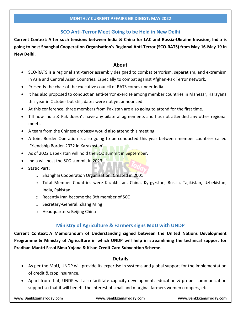# **SCO Anti-Terror Meet Going to be Held in New Delhi**

<span id="page-34-0"></span>**Current Context: After such tensions between India & China for LAC and Russia-Ukraine Invasion, India is going to host Shanghai Cooperation Organisation's Regional Anti-Terror (SCO-RATS) from May 16-May 19 in New Delhi.**

### **About**

- SCO-RATS is a regional anti-terror assembly designed to combat terrorism, separatism, and extremism in Asia and Central Asian Countries. Especially to combat against Afghan-Pak Terror network.
- Presently the chair of the executive council of RATS comes under India.
- It has also proposed to conduct an anti-terror exercise among member countries in Manesar, Harayana this year in October but still, dates were not yet announced.
- At this conference, three members from Pakistan are also going to attend for the first time.
- Till now India & Pak doesn't have any bilateral agreements and has not attended any other regional meets.
- A team from the Chinese embassy would also attend this meeting.
- A Joint Border Operation is also going to be conducted this year between member countries called 'Friendship Border-2022 in Kazakhstan'.
- As of 2022 Uzbekistan will hold the SCO summit in September.
- India will host the SCO summit in 2023.
- **Static Part:**
	- o Shanghai Cooperation Organisation: Created in 2001
	- o Total Member Countries were Kazakhstan, China, Kyrgyzstan, Russia, Tajikistan, Uzbekistan, India, Pakistan
	- o Recently Iran become the 9th member of SCO
	- o Secretary-General: Zhang Ming
	- o Headquarters: Beijing China

# **Ministry of Agriculture & Farmers signs MoU with UNDP**

<span id="page-34-1"></span>**Current Context: A Memorandum of Understanding signed between the United Nations Development Programme & Ministry of Agriculture in which UNDP will help in streamlining the technical support for Pradhan Mantri Fasal Bima Yojana & Kisan Credit Card Subvention Scheme.**

### **Details**

- As per the MoU, UNDP will provide its expertise in systems and global support for the implementation of credit & crop insurance.
- Apart from that, UNDP will also facilitate capacity development, education & proper communication support so that it will benefit the interest of small and marginal farmers women croppers, etc.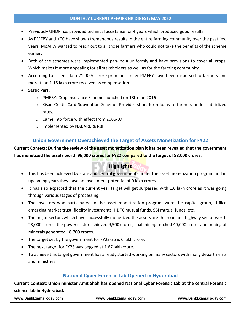- Previously UNDP has provided technical assistance for 4 years which produced good results.
- As PMFBY and KCC have shown tremendous results in the entire farming community over the past few years, MoAFW wanted to reach out to all those farmers who could not take the benefits of the scheme earlier.
- Both of the schemes were implemented pan-India uniformly and have provisions to cover all crops. Which makes it more appealing for all stakeholders as well as for the farming community.
- According to recent data 21,000/- crore premium under PMFBY have been dispersed to farmers and more than 1.15 lakh crore received as compensation.
- **Static Part:**
	- o PMFBY: Crop Insurance Scheme launched on 13th Jan 2016
	- o Kisan Credit Card Subvention Scheme: Provides short term loans to farmers under subsidized rates,
	- o Came into force with effect from 2006-07
	- o Implemented by NABARD & RBI

# **Union Government Overachieved the Target of Assets Monetization for FY22**

<span id="page-35-0"></span>**Current Context: During the review of the asset monetization plan it has been revealed that the government has monetized the assets worth 96,000 crores for FY22 compared to the target of 88,000 crores.**

# **Highlights**

- This has been achieved by state and central governments under the asset monetization program and in upcoming years they have an investment potential of 9 lakh crores.
- It has also expected that the current year target will get surpassed with 1.6 lakh crore as it was going through various stages of processing.
- The investors who participated in the asset monetization program were the capital group, Utilico emerging market trust, fidelity investments, HDFC mutual funds, SBI mutual funds, etc.
- The major sectors which have successfully monetized the assets are the road and highway sector worth 23,000 crores, the power sector achieved 9,500 crores, coal mining fetched 40,000 crores and mining of minerals generated 18,700 crores.
- The target set by the government for FY22-25 is 6 lakh crore.
- The next target for FY23 was pegged at 1.67 lakh crore.
- To achieve this target government has already started working on many sectors with many departments and ministries.

# **National Cyber Forensic Lab Opened in Hyderabad**

<span id="page-35-1"></span>**Current Context: Union minister Amit Shah has opened National Cyber Forensic Lab at the central Forensic science lab in Hyderabad.**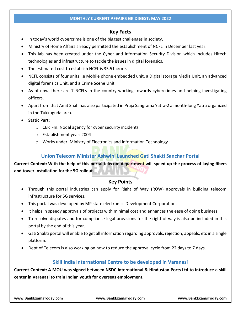### **Key Facts**

- In today's world cybercrime is one of the biggest challenges in society.
- Ministry of Home Affairs already permitted the establishment of NCFL in December last year.
- This lab has been created under the Cyber and Information Security Division which includes Hitech technologies and infrastructure to tackle the issues in digital forensics.
- The estimated cost to establish NCFL is 35.51 crore.
- NCFL consists of four units i.e Mobile phone embedded unit, a Digital storage Media Unit, an advanced digital forensics Unit, and a Crime Scene Unit.
- As of now, there are 7 NCFLs in the country working towards cybercrimes and helping investigating officers.
- Apart from that Amit Shah has also participated in Praja Sangrama Yatra-2 a month-long Yatra organized in the Tukkuguda area.
- **Static Part:**
	- o CERT-In: Nodal agency for cyber security incidents
	- o Establishment year: 2004
	- o Works under: Ministry of Electronics and Information Technology

### **Union Telecom Minister Ashwini Launched Gati Shakti Sanchar Portal**

**Current Context: With the help of this portal telecom department will speed up the process of laying fibers and tower Installation for the 5G rollout.**

#### **Key Points**

- Through this portal industries can apply for Right of Way (ROW) approvals in building telecom infrastructure for 5G services.
- This portal was developed by MP state electronics Development Corporation.
- It helps in speedy approvals of projects with minimal cost and enhances the ease of doing business.
- To resolve disputes and for compliance legal provisions for the right of way is also be included in this portal by the end of this year.
- Gati Shakti portal will enable to get all information regarding approvals, rejection, appeals, etc in a single platform.
- Dept of Telecom is also working on how to reduce the approval cycle from 22 days to 7 days.

### **Skill India International Centre to be developed in Varanasi**

**Current Context: A MOU was signed between NSDC international & Hindustan Ports Ltd to introduce a skill center in Varanasi to train Indian youth for overseas employment.**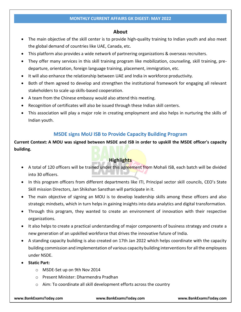#### **About**

- The main objective of the skill center is to provide high-quality training to Indian youth and also meet the global demand of countries like UAE, Canada, etc.
- This platform also provides a wide network of partnering organizations & overseas recruiters.
- They offer many services in this skill training program like mobilization, counseling, skill training, predeparture, orientation, foreign language training, placement, immigration, etc.
- It will also enhance the relationship between UAE and India in workforce productivity.
- Both of them agreed to develop and strengthen the institutional framework for engaging all relevant stakeholders to scale up skills-based cooperation.
- A team from the Chinese embassy would also attend this meeting.
- Recognition of certificates will also be issued through these Indian skill centers.
- This association will play a major role in creating employment and also helps in nurturing the skills of Indian youth.

### **MSDE signs MoU ISB to Provide Capacity Building Program**

**Current Context: A MOU was signed between MSDE and ISB in order to upskill the MSDE officer's capacity building.**

### **Highlights**

- A total of 120 officers will be trained under this agreement from Mohali ISB, each batch will be divided into 30 officers.
- In this program officers from different departments like ITI, Principal sector skill councils, CEO's State Skill mission Directors, Jan Shikshan Sansthan will participate in it.
- The main objective of signing an MOU is to develop leadership skills among these officers and also strategic mindsets, which in turn helps in gaining insights into data analytics and digital transformation.
- Through this program, they wanted to create an environment of innovation with their respective organizations.
- It also helps to create a practical understanding of major components of business strategy and create a new generation of an upskilled workforce that drives the innovative future of India.
- A standing capacity building is also created on 17th Jan 2022 which helps coordinate with the capacity building commission and implementation of various capacity building interventions for all the employees under NSDE.
- **Static Part:**
	- o MSDE-Set up on 9th Nov 2014
	- o Present Minister: Dharmendra Pradhan
	- o Aim: To coordinate all skill development efforts across the country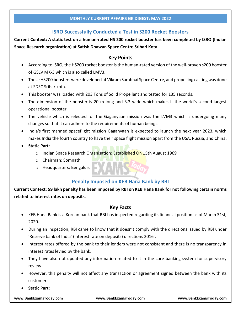### **ISRO Successfully Conducted a Test in S200 Rocket Boosters**

**Current Context: A static test on a human-rated HS 200 rocket booster has been completed by ISRO (Indian Space Research organization) at Satish Dhawan Space Centre Srihari Kota.**

### **Key Points**

- According to ISRO, the HS200 rocket booster is the human-rated version of the well-proven s200 booster of GSLV MK-3 which is also called LMV3.
- These HS200 boosters were developed at Vikram Sarabhai Space Centre, and propelling casting was done at SDSC Sriharikota.
- This booster was loaded with 203 Tons of Solid Propellant and tested for 135 seconds.
- The dimension of the booster is 20 m long and 3.3 wide which makes it the world's second-largest operational booster.
- The vehicle which is selected for the Gaganyaan mission was the LVM3 which is undergoing many changes so that it can adhere to the requirements of human beings.
- India's first manned spaceflight mission Gaganyaan is expected to launch the next year 2023, which makes India the fourth country to have their space flight mission apart from the USA, Russia, and China.
- **Static Part:**
	- o Indian Space Research Organisation: Established On 15th August 1969
	- o Chairman: Somnath
	- o Headquarters: Bengaluru

### **Penalty Imposed on KEB Hana Bank by RBI**

**Current Context: 59 lakh penalty has been imposed by RBI on KEB Hana Bank for not following certain norms related to interest rates on deposits.**

### **Key Facts**

- KEB Hana Bank is a Korean bank that RBI has inspected regarding its financial position as of March 31st, 2020.
- During an inspection, RBI came to know that it doesn't comply with the directions issued by RBI under 'Reserve bank of India' (interest rate on deposits) directions 2016'.
- Interest rates offered by the bank to their lenders were not consistent and there is no transparency in interest rates levied by the bank.
- They have also not updated any information related to it in the core banking system for supervisory review.
- However, this penalty will not affect any transaction or agreement signed between the bank with its customers.
- **Static Part:**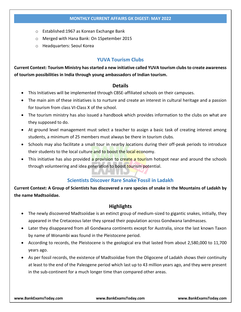- o Established:1967 as Korean Exchange Bank
- o Merged with Hana Bank: On 1Spetember 2015
- o Headquarters: Seoul Korea

#### **YUVA Tourism Clubs**

**Current Context: Tourism Ministry has started a new initiative called YUVA tourism clubs to create awareness of tourism possibilities in India through young ambassadors of Indian tourism.**

#### **Details**

- This Initiatives will be implemented through CBSE-affiliated schools on their campuses.
- The main aim of these initiatives is to nurture and create an interest in cultural heritage and a passion for tourism from class VI-Class X of the school.
- The tourism ministry has also issued a handbook which provides information to the clubs on what are they supposed to do.
- At ground level management must select a teacher to assign a basic task of creating interest among students, a minimum of 25 members must always be there in tourism clubs.
- Schools may also facilitate a small tour in nearby locations during their off-peak periods to introduce their students to the local culture and to boost the local economy.
- This initiative has also provided a provision to create a tourism hotspot near and around the schools through volunteering and idea generation to boost tourism potential.

### **Scientists Discover Rare Snake Fossil in Ladakh**

**Current Context: A Group of Scientists has discovered a rare species of snake in the Mountains of Ladakh by the name Madtsoiidae.**

### **Highlights**

- The newly discovered Madtsoiidae is an extinct group of medium-sized to gigantic snakes, initially, they appeared in the Cretaceous later they spread their population across Gondwana landmasses.
- Later they disappeared from all Gondwana continents except for Australia, since the last known Taxon by name of Wonambi was found in the Pleistocene period.
- According to records, the Pleistocene is the geological era that lasted from about 2,580,000 to 11,700 years ago.
- As per fossil records, the existence of Madtsoiidae from the Oligocene of Ladakh shows their continuity at least to the end of the Paleogene period which last up to 43 million years ago, and they were present in the sub-continent for a much longer time than compared other areas.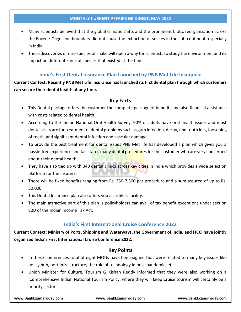- Many scientists believed that the global climatic shifts and the prominent biotic reorganization across the Eocene-Oligocene boundary did not cause the extinction of snakes in the sub-continent, especially in India.
- These discoveries of rare species of snake will open a way for scientists to study the environment and its impact on different kinds of species that existed at the time.

### **India's First Dental Insurance Plan Launched by PNB Met Life Insurance**

**Current Context: Recently PNB Met Life Insurance has launched its first dental plan through which customers can secure their dental health at any time.**

#### **Key Facts**

- This Dental package offers the customer the complete package of benefits and also financial assistance with costs related to dental health.
- According to the Indian National Oral Health Survey, 90% of adults have oral health issues and most dental visits are for treatment of dental problems such as gum infection, decay, and tooth loss, loosening of teeth, and significant dental infection and vascular damage.
- To provide the best treatment for dental issues PNB Met life has developed a plan which gives you a hassle-free experience and facilitates many dental procedures for the customer who are very concerned about their dental health.
- They have also tied up with 340 dental clinics across key cities in India which provides a wide selection platform for the insurers.
- There will be fixed benefits ranging from Rs. 350-7,500 per procedure and a sum assured of up to Rs. 50,000.
- This Dental Insurance plan also offers you a cashless facility.
- The main attractive part of this plan is policyholders can avail of tax benefit exceptions under section 80D of the Indian Income Tax Act.

### **India's First International Cruise Conference 2022**

**Current Context: Ministry of Ports, Shipping and Waterways, the Government of India, and FICCI have jointly organized India's First International Cruise Conference 2022.**

#### **Key Points**

- In these conferences total of eight MOUs have been signed that were related to many key issues like policy hub, port infrastructure, the role of technology in post-pandemic, etc.
- Union Minister for Culture, Tourism G Kishan Reddy informed that they were also working on a 'Comprehensive Indian National Tourism Policy, where they will keep Cruise tourism will certainly be a priority sector.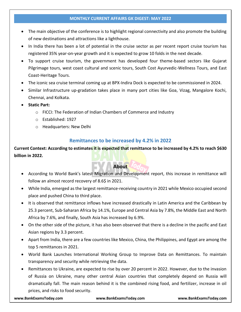- The main objective of the conference is to highlight regional connectivity and also promote the building of new destinations and attractions like a lighthouse.
- In India there has been a lot of potential in the cruise sector as per recent report cruise tourism has registered 35% year-on-year growth and it is expected to grow 10 folds in the next decade.
- To support cruise tourism, the government has developed four theme-based sectors like Gujarat Pilgrimage tours, west coast cultural and scenic tours, South Cost Ayurvedic-Wellness Tours, and East Coast-Heritage Tours.
- The iconic sea cruise terminal coming up at BPX-Indira Dock is expected to be commissioned in 2024.
- Similar Infrastructure up-gradation takes place in many port cities like Goa, Vizag, Mangalore Kochi, Chennai, and Kolkata.
- **Static Part:**
	- o FICCI: The Federation of Indian Chambers of Commerce and Industry
	- o Established: 1927
	- o Headquarters: New Delhi

### **Remittances to be increased by 4.2% in 2022**

**Current Context: According to estimates it is expected that remittance to be increased by 4.2% to reach \$630 billion in 2022.**

### **About**

- According to World Bank's latest Migration and Development report, this increase in remittance will follow an almost record recovery of 8.6\$ in 2021.
- While India, emerged as the largest remittance-receiving country in 2021 while Mexico occupied second place and pushed China to third place.
- It is observed that remittance inflows have increased drastically in Latin America and the Caribbean by 25.3 percent, Sub-Saharan Africa by 14.1%, Europe and Central Asia by 7.8%, the Middle East and North Africa by 7.6%, and finally, South Asia has increased by 6.9%.
- On the other side of the picture, it has also been observed that there is a decline in the pacific and East Asian regions by 3.3 percent.
- Apart from India, there are a few countries like Mexico, China, the Philippines, and Egypt are among the top 5 remittances in 2021.
- World Bank Launches International Working Group to Improve Data on Remittances. To maintain transparency and security while retrieving the data.
- Remittances to Ukraine, are expected to rise by over 20 percent in 2022. However, due to the invasion of Russia on Ukraine, many other central Asian countries that completely depend on Russia will dramatically fall. The main reason behind it is the combined rising food, and fertilizer, increase in oil prices, and risks to food security.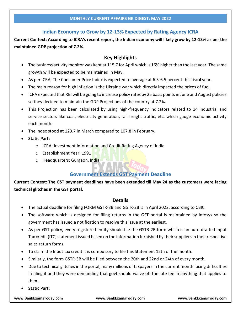### **Indian Economy to Grow by 12-13% Expected by Rating Agency ICRA**

**Current Context: According to ICRA's recent report, the Indian economy will likely grow by 12-13% as per the maintained GDP projection of 7.2%.**

### **Key Highlights**

- The business activity monitor was kept at 115.7 for April which is 16% higher than the last year. The same growth will be expected to be maintained in May.
- As per ICRA, The Consumer Price Index is expected to average at 6.3-6.5 percent this fiscal year.
- The main reason for high inflation is the Ukraine war which directly impacted the prices of fuel.
- ICRA expected that RBI will be going to increase policy rates by 25 basis points in June and August policies so they decided to maintain the GDP Projections of the country at 7.2%.
- This Projection has been calculated by using high-frequency indicators related to 14 industrial and service sectors like coal, electricity generation, rail freight traffic, etc. which gauge economic activity each month.
- The index stood at 123.7 in March compared to 107.8 in February.
- **Static Part:**
	- o ICRA: Investment Information and Credit Rating Agency of India
	- o Establishment Year: 1991
	- o Headquarters: Gurgaon, India

### **Government Extends GST Payment Deadline**

**Current Context: The GST payment deadlines have been extended till May 24 as the customers were facing technical glitches in the GST portal.**

#### **Details**

- The actual deadline for filing FORM GSTR-3B and GSTR-2B is in April 2022, according to CBIC.
- The software which is designed for filing returns in the GST portal is maintained by Infosys so the government has issued a notification to resolve this issue at the earliest.
- As per GST policy, every registered entity should file the GSTR-2B form which is an auto-drafted Input Tax credit (ITC) statement issued based on the information furnished by their suppliers in their respective sales return forms.
- To claim the Input tax credit it is compulsory to file this Statement 12th of the month.
- Similarly, the form GSTR-3B will be filed between the 20th and 22nd or 24th of every month.
- Due to technical glitches in the portal, many millions of taxpayers in the current month facing difficulties in filing it and they were demanding that govt should waive off the late fee in anything that applies to them.
- **Static Part:**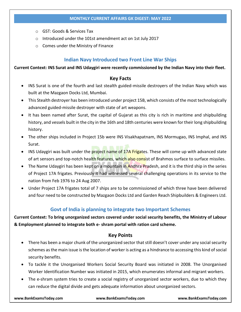- o GST: Goods & Services Tax
- o Introduced under the 101st amendment act on 1st July 2017
- o Comes under the Ministry of Finance

#### **Indian Navy Introduced two Front Line War Ships**

#### **Current Context: INS Surat and INS Udaygiri were recently commissioned by the Indian Navy into their fleet.**

#### **Key Facts**

- INS Surat is one of the fourth and last stealth guided-missile destroyers of the Indian Navy which was built at the Mazgaon Docks Ltd, Mumbai.
- This Stealth destroyer has been introduced under project 15B, which consists of the most technologically advanced guided-missile destroyer with state of art weapons.
- It has been named after Surat, the capital of Gujarat as this city is rich in maritime and shipbuilding history, and vessels built in the city in the 16th and 18th centuries were known for their long shipbuilding history.
- The other ships included in Project 15b were INS Visakhapatnam, INS Mormugao, INS Imphal, and INS Surat.
- INS Udaygiri was built under the project name of 17A Frigates. These will come up with advanced state of art sensors and top-notch health features, which also consist of Brahmos surface to surface missiles.
- The Name Udaygiri has been kept on a mountain in Andhra Pradesh, and it is the third ship in the series of Project 17A frigates. Previously it had witnessed several challenging operations in its service to the nation from Feb 1976 to 24 Aug 2007.
- Under Project 17A frigates total of 7 ships are to be commissioned of which three have been delivered and four need to be constructed by Mazgaon Docks Ltd and Garden Reach Shipbuilders & Engineers Ltd.

### **Govt of India is planning to integrate two Important Schemes**

**Current Context: To bring unorganized sectors covered under social security benefits, the Ministry of Labour & Employment planned to integrate both e- shram portal with ration card scheme.**

#### **Key Points**

- There has been a major chunk of the unorganized sector that still doesn't cover under any social security schemes as the main issue is the location of worker is acting as a hindrance to accessing this kind of social security benefits.
- To tackle it the Unorganised Workers Social Security Board was initiated in 2008. The Unorganised Worker Identification Number was initiated in 2015, which enumerates informal and migrant workers.
- The e-shram system tries to create a social registry of unorganized sector workers, due to which they can reduce the digital divide and gets adequate information about unorganized sectors.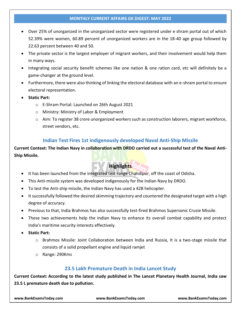- Over 25% of unorganized in the unorganized sector were registered under e shram portal out of which 52.39% were women, 60.89 percent of unorganized workers are in the 18-40 age group followed by 22.63 percent between 40 and 50.
- The private sector is the largest employer of migrant workers, and their involvement would help them in many ways.
- Integrating social security benefit schemes like one nation & one ration card, etc will definitely be a game-changer at the ground level.
- Furthermore, there were also thinking of linking the electoral database with an e-shram portal to ensure electoral representation.
- **Static Part:**
	- o E-Shram Portal: Launched on 26th August 2021
	- o Ministry: Ministry of Labor & Employment
	- o Aim: To register 38 crore unorganized workers such as construction laborers, migrant workforce, street vendors, etc.

### **Indian Test Fires 1st indigenously developed Naval Anti-Ship Missile**

**Current Context: The Indian Navy in collaboration with DRDO carried out a successful test of the Naval Anti-Ship Missile.**

### **Highlights**

- It has been launched from the integrated test range Chandipur, off the coast of Odisha.
- This Anti-missile system was developed indigenously for the Indian Navy by DRDO.
- To test the Anti-ship missile, the Indian Navy has used a 42B helicopter.
- It successfully followed the desired skimming trajectory and countered the designated target with a high degree of accuracy.
- Previous to that, India Brahmos has also successfully test-fired Brahmos Supersonic Crusie Missile.
- These two achievements help the Indian Navy to enhance its overall combat capability and protect India's maritime security interests effectively.
- **Static Part:**
	- o Brahmos Missile: Joint Collaboration between India and Russia, It is a two-stage missile that consists of a solid propellant engine and liquid ramjet
	- o Range: 290Kms

### **23.5 Lakh Premature Death in India Lancet Study**

**Current Context: According to the latest study published in The Lancet Planetary Health Journal, India saw 23.5 L premature death due to pollution.**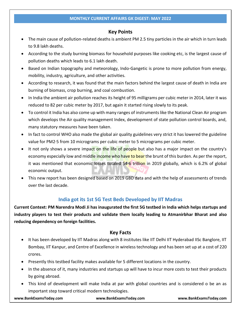### **Key Points**

- The main cause of pollution-related deaths is ambient PM 2.5 tiny particles in the air which in turn leads to 9.8 lakh deaths.
- According to the study burning biomass for household purposes like cooking etc, is the largest cause of pollution deaths which leads to 6.1 lakh death.
- Based on Indian topography and meteorology, Indo-Gangetic is prone to more pollution from energy, mobility, industry, agriculture, and other activities.
- According to research, it was found that the main factors behind the largest cause of death in India are burning of biomass, crop burning, and coal combustion.
- In India the ambient air pollution reaches its height of 95 milligrams per cubic meter in 2014, later it was reduced to 82 per cubic meter by 2017, but again it started rising slowly to its peak.
- To control it India has also come up with many ranges of instruments like the National Clean Air program which develops the Air quality management Index, development of state pollution control boards, and, many statutory measures have been taken.
- In fact to control WHO also made the global air quality guidelines very strict it has lowered the guideline value for PM2∙5 from 10 micrograms per cubic meter to 5 micrograms per cubic meter.
- It not only shows a severe impact on the life of people but also has a major impact on the country's economy especially low and middle income who have to bear the brunt of this burden. As per the report, it was mentioned that economic losses totaled \$4∙6 trillion in 2019 globally, which is 6.2% of global economic output.
- This new report has been designed based on 2019 GBD data and with the help of assessments of trends over the last decade.

### **India got its 1st 5G Test Beds Developed by IIT Madras**

**Current Context: PM Narendra Modi Ji has inaugurated the first 5G testbed in India which helps startups and industry players to test their products and validate them locally leading to Atmanirbhar Bharat and also reducing dependency on foreign facilities.**

### **Key Facts**

- It has been developed by IIT Madras along with 8 institutes like IIT Delhi IIT Hyderabad IISc Banglore, IIT Bombay, IIT Kanpur, and Centre of Excellence in wireless technology and has been set up at a cost of 220 crores.
- Presently this testbed facility makes available for 5 different locations in the country.
- In the absence of it, many industries and startups up will have to incur more costs to test their products by going abroad.
- This kind of development will make India at par with global countries and is considered o be an as important step toward critical modern technologies.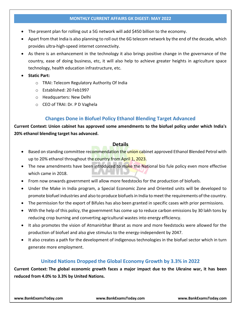- The present plan for rolling out a 5G network will add \$450 billion to the economy.
- Apart from that India is also planning to roll out the 6G telecom network by the end of the decade, which provides ultra-high-speed internet connectivity.
- As there is an enhancement in the technology it also brings positive change in the governance of the country, ease of doing business, etc, it will also help to achieve greater heights in agriculture space technology, health education infrastructure, etc.
- **Static Part:**
	- o TRAI: Telecom Regulatory Authority Of India
	- o Established: 20 Feb1997
	- o Headquarters: New Delhi
	- o CEO of TRAI: Dr. P D Vaghela

### **Changes Done in Biofuel Policy Ethanol Blending Target Advanced**

**Current Context: Union cabinet has approved some amendments to the biofuel policy under which India's 20% ethanol blending target has advanced.**

### **Details**

- Based on standing committee recommendation the union cabinet approved Ethanol Blended Petrol with up to 20% ethanol throughout the country from April 1, 2023.
- The new amendments have been introduced to make the National bio fule policy even more effective which came in 2018.
- From now onwards government will allow more feedstocks for the production of biofuels.
- Under the Make in India program, a Special Economic Zone and Oriented units will be developed to promote biofuel industries and also to produce biofuels in India to meet the requirements of the country.
- The permission for the export of Bifules has also been granted in specific cases with prior permissions.
- With the help of this policy, the government has come up to reduce carbon emissions by 30 lakh tons by reducing crop burning and converting agricultural wastes into energy efficiency.
- It also promotes the vision of Atmanirbhar Bharat as more and more feedstocks were allowed for the production of biofuel and also give stimulus to the energy-independent by 2047.
- It also creates a path for the development of indigenous technologies in the biofuel sector which in turn generate more employment.

### **United Nations Dropped the Global Economy Growth by 3.3% in 2022**

**Current Context: The global economic growth faces a major impact due to the Ukraine war, it has been reduced from 4.0% to 3.3% by United Nations.**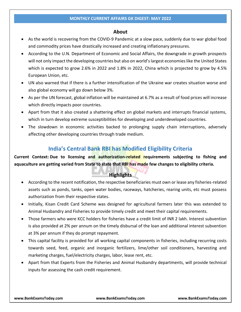#### **About**

- As the world is recovering from the COVID-9 Pandemic at a slow pace, suddenly due to war global food and commodity prices have drastically increased and creating inflationary pressures.
- According to the U.N. Department of Economic and Social Affairs, the downgrade in growth prospects will not only impact the developing countries but also on world's largest economies like the United States which is expected to grow 2.6% in 2022 and 1.8% in 2022, China which is projected to grow by 4.5% European Union, etc.
- UN also warned that if there is a further intensification of the Ukraine war creates situation worse and also global economy will go down below 3%.
- As per the UN forecast, global inflation will be maintained at 6.7% as a result of food prices will increase which directly impacts poor countries.
- Apart from that it also created a shattering effect on global markets and interrupts financial systems, which in turn develop extreme susceptibilities for developing and underdeveloped countries.
- The slowdown in economic activities backed to prolonging supply chain interruptions, adversely affecting other developing countries through trade medium.

## **India's Central Bank RBI has Modified Eligibility Criteria**

**Current Context: Due to licensing and authorization-related requirements subjecting to fishing and aquaculture are getting varied from State to state that RBI has made few changes to eligibility criteria.**

### **Highlights**

- According to the recent notification, the respective beneficiaries must own or lease any fisheries-related assets such as ponds, tanks, open water bodies, raceways, hatcheries, rearing units, etc must possess authorization from their respective states.
- Initially, Kisan Credit Card Scheme was designed for agricultural farmers later this was extended to Animal Husbandry and Fisheries to provide timely credit and meet their capital requirements.
- Those farmers who were KCC holders for fisheries have a credit limit of INR 2 lakh. Interest subvention is also provided at 2% per annum on the timely disbursal of the loan and additional interest subvention at 3% per annum if they do prompt repayment.
- This capital facility is provided for all working capital components in fisheries, including recurring costs towards seed, feed, organic and inorganic fertilizers, lime/other soil conditioners, harvesting and marketing charges, fuel/electricity charges, labor, lease rent, etc.
- Apart from that Experts from the Fisheries and Animal Husbandry departments, will provide technical inputs for assessing the cash credit requirement.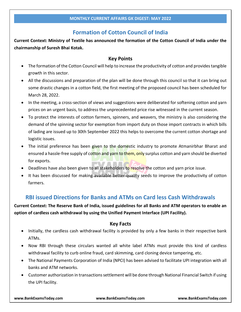## **Formation of Cotton Council of India**

**Current Context: Ministry of Textile has announced the formation of the Cotton Council of India under the chairmanship of Suresh Bhai Kotak.**

### **Key Points**

- The formation of the Cotton Council will help to increase the productivity of cotton and provides tangible growth in this sector.
- All the discussions and preparation of the plan will be done through this council so that it can bring out some drastic changes in a cotton field, the first meeting of the proposed council has been scheduled for March 28, 2022.
- In the meeting, a cross-section of views and suggestions were deliberated for softening cotton and yarn prices on an urgent basis, to address the unprecedented price rise witnessed in the current season.
- To protect the interests of cotton farmers, spinners, and weavers, the ministry is also considering the demand of the spinning sector for exemption from import duty on those import contracts in which bills of lading are issued up to 30th September 2022 this helps to overcome the current cotton shortage and logistic issues.
- The initial preference has been given to the domestic industry to promote Atmanirbhar Bharat and ensured a hassle-free supply of cotton and yarn to them, only surplus cotton and yarn should be diverted for exports.
- Deadlines have also been given to all stakeholders to resolve the cotton and yarn price issue.
- It has been discussed for making available better-quality seeds to improve the productivity of cotton farmers.

## **RBI issued Directions for Banks and ATMs on Card less Cash Withdrawals**

**Current Context: The Reserve Bank of India, issued guidelines for all Banks and ATM operators to enable an option of cardless cash withdrawal by using the Unified Payment Interface (UPI Facility).**

### **Key Facts**

- Initially, the cardless cash withdrawal facility is provided by only a few banks in their respective bank ATMs.
- Now RBI through these circulars wanted all white label ATMs must provide this kind of cardless withdrawal facility to curb online fraud, card skimming, card cloning device tampering, etc.
- The National Payments Corporation of India (NPCI) has been advised to facilitate UPI integration with all banks and ATM networks.
- Customer authorization in transactions settlement will be done through National Financial Switch if using the UPI facility.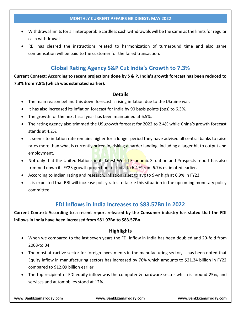- Withdrawal limits for all interoperable cardless cash withdrawals will be the same as the limits for regular cash withdrawals.
- RBI has cleared the instructions related to harmonization of turnaround time and also same compensation will be paid to the customer for the failed transaction.

## **Global Rating Agency S&P Cut India's Growth to 7.3%**

**Current Context: According to recent projections done by S & P, India's growth forecast has been reduced to 7.3% from 7.8% (which was estimated earlier).**

#### **Details**

- The main reason behind this down forecast is rising inflation due to the Ukraine war.
- It has also increased its inflation forecast for India by 90 basis points (bps) to 6.3%.
- The growth for the next fiscal year has been maintained at 6.5%.
- The rating agency also trimmed the US growth forecast for 2022 to 2.4% while China's growth forecast stands at 4.2%.
- It seems to inflation rate remains higher for a longer period they have advised all central banks to raise rates more than what is currently priced in, risking a harder landing, including a larger hit to output and employment.
- Not only that the United Nations in its latest World Economic Situation and Prospects report has also trimmed down its FY23 growth projection for India to 6.4 %from 6.7% estimated earlier.
- According to Indian rating and research, Inflation is set to avg to 9-yr high at 6.9% in FY23.
- It is expected that RBI will increase policy rates to tackle this situation in the upcoming monetary policy committee.

### **FDI Inflows in India Increases to \$83.57Bn In 2022**

**Current Context: According to a recent report released by the Consumer industry has stated that the FDI inflows in India have been increased from \$81.97Bn to \$83.57Bn.**

### **Highlights**

- When we compared to the last seven years the FDI inflow in India has been doubled and 20-fold from 2003-to 04.
- The most attractive sector for foreign investments in the manufacturing sector, it has been noted that Equity inflow in manufacturing sectors has increased by 76% which amounts to \$21.34 billion in FY22 compared to \$12.09 billion earlier.
- The top recipient of FDI equity inflow was the computer & hardware sector which is around 25%, and services and automobiles stood at 12%.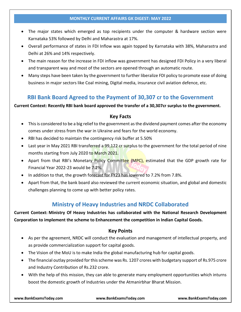- The major states which emerged as top recipients under the computer & hardware section were Karnataka 53% followed by Delhi and Maharastra at 17%.
- Overall performance of states in FDI Inflow was again topped by Karnataka with 38%, Maharastra and Delhi at 26% and 14% respectively.
- The main reason for the increase in FDI inflow was government has designed FDI Policy in a very liberal and transparent way and most of the sectors are opened through an automatic route.
- Many steps have been taken by the government to further liberalize FDI policy to promote ease of doing business in major sectors like Coal mining, Digital media, insurance civil aviation defence, etc.

## **RBI Bank Board Agreed to the Payment of 30,307 cr to the Government**

#### **Current Context: Recently RBI bank board approved the transfer of a 30,307cr surplus to the government.**

### **Key Facts**

- This is considered to be a big relief to the government as the dividend payment comes after the economy comes under stress from the war in Ukraine and fears for the world economy.
- RBI has decided to maintain the contingency risk buffer at 5.50%
- Last year in May 2021 RBI transferred a 99,122 cr surplus to the government for the total period of nine months starting from July 2020 to March 2021.
- Apart from that RBI's Monetary Policy Committee (MPC), estimated that the GDP growth rate for Financial Year 2022-23 would be 7.2%.
- In addition to that, the growth forecast for FY23 has lowered to 7.2% from 7.8%.
- Apart from that, the bank board also reviewed the current economic situation, and global and domestic challenges planning to come up with better policy rates.

## **Ministry of Heavy Industries and NRDC Collaborated**

**Current Context: Ministry Of Heavy Industries has collaborated with the National Research Development Corporation to implement the scheme to Enhancement the competition in Indian Capital Goods.**

### **Key Points**

- As per the agreement, NRDC will conduct the evaluation and management of intellectual property, and as provide commercialization support for capital goods.
- The Vision of the MoU is to make India the global manufacturing hub for capital goods.
- The financial outlay provided for this scheme was Rs. 1207 crores with budgetary support of Rs.975 crore and Industry Contribution of Rs.232 crore.
- With the help of this mission, they can able to generate many employment opportunities which inturns boost the domestic growth of Industries under the Atmanirbhar Bharat Mission.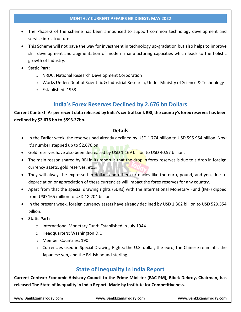- The Phase-2 of the scheme has been announced to support common technology development and service infrastructure.
- This Scheme will not pave the way for investment in technology up-gradation but also helps to improve skill development and augmentation of modern manufacturing capacities which leads to the holistic growth of Industry.
- **Static Part:**
	- o NRDC: National Research Development Corporation
	- o Works Under: Dept of Scientific & Industrial Research, Under Ministry of Science & Technology
	- o Established: 1953

## **India's Forex Reserves Declined by 2.676 bn Dollars**

**Current Context: As per recent data released by India's central bank RBI, the country's forex reserves has been declined by \$2.676 bn to \$593.27bn.**

### **Details**

- In the Earlier week, the reserves had already declined by USD 1.774 billion to USD 595.954 billion. Now it's number stepped up to \$2.676 bn.
- Gold reserves have also been decreased by USD 1.169 billion to USD 40.57 billion.
- The main reason shared by RBI in its report is that the drop in forex reserves is due to a drop in foreign currency assets, gold reserves, etc.
- They will always be expressed in dollars and other currencies like the euro, pound, and yen, due to depreciation or appreciation of these currencies will impact the forex reserves for any country.
- Apart from that the special drawing rights (SDRs) with the International Monetary Fund (IMF) dipped from USD 165 million to USD 18.204 billion.
- In the present week, foreign currency assets have already declined by USD 1.302 billion to USD 529.554 billion.
- **Static Part:**
	- o International Monetary Fund: Established in July 1944
	- o Headquarters: Washington D.C
	- o Member Countries: 190
	- o Currencies used in Special Drawing Rights: the U.S. dollar, the euro, the Chinese renminbi, the Japanese yen, and the British pound sterling.

## **State of Inequality in India Report**

**Current Context: Economic Advisory Council to the Prime Minister (EAC-PM), Bibek Debroy, Chairman, has released The State of Inequality in India Report. Made by Institute for Competitiveness.**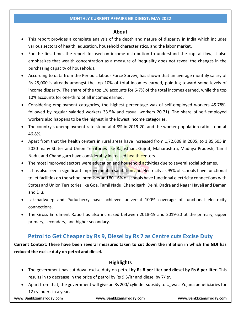#### **About**

- This report provides a complete analysis of the depth and nature of disparity in India which includes various sectors of health, education, household characteristics, and the labor market.
- For the first time, the report focused on income distribution to understand the capital flow, it also emphasizes that wealth concentration as a measure of inequality does not reveal the changes in the purchasing capacity of households.
- According to data from the Periodic labour Force Survey, has shown that an average monthly salary of Rs 25,000 is already amongst the top 10% of total incomes earned, pointing toward some levels of income disparity. The share of the top 1% accounts for 6-7% of the total incomes earned, while the top 10% accounts for one-third of all incomes earned.
- Considering employment categories, the highest percentage was of self-employed workers 45.78%, followed by regular salaried workers 33.5% and casual workers 20.71). The share of self-employed workers also happens to be the highest in the lowest income categories.
- The country's unemployment rate stood at 4.8% in 2019-20, and the worker population ratio stood at 46.8%.
- Apart from that the health centers in rural areas have increased from 1,72,608 in 2005, to 1,85,505 in 2020 many States and Union Territories like Rajasthan, Gujrat, Maharashtra, Madhya Pradesh, Tamil Nadu, and Chandigarh have considerably increased health centers.
- The most improved sectors were education and household activities due to several social schemes.
- It has also seen a significant improvement in sanitation and electricity as 95% of schools have functional toilet facilities on the school premises and 80.16% of schools have functional electricity connections with States and Union Territories like Goa, Tamil Nadu, Chandigarh, Delhi, Dadra and Nagar Haveli and Daman and Diu.
- Lakshadweep and Puducherry have achieved universal 100% coverage of functional electricity connections.
- The Gross Enrolment Ratio has also increased between 2018-19 and 2019-20 at the primary, upper primary, secondary, and higher secondary.

## **Petrol to Get Cheaper by Rs 9, Diesel by Rs 7 as Centre cuts Excise Duty**

**Current Context: There have been several measures taken to cut down the inflation in which the GOI has reduced the excise duty on petrol and diesel.**

### **Highlights**

- The government has cut down excise duty on petrol **by Rs 8 per liter and diesel by Rs 6 per liter.** This results in to decrease in the price of petrol by Rs 9.5/ltr and diesel by 7/ltr.
- Apart from that, the government will give an Rs 200/ cylinder subsidy to Ujjwala Yojana beneficiaries for 12 cylinders in a year.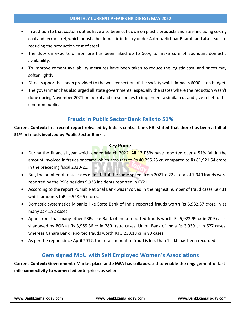- In addition to that custom duties have also been cut down on plastic products and steel including coking coal and ferronickel, which boosts the domestic industry under AatmnaNirbhar Bharat, and also leads to reducing the production cost of steel.
- The duty on exports of iron ore has been hiked up to 50%, to make sure of abundant domestic availability.
- To improve cement availability measures have been taken to reduce the logistic cost, and prices may soften lightly.
- Direct support has been provided to the weaker section of the society which impacts 6000 cr on budget.
- The government has also urged all state governments, especially the states where the reduction wasn't done during November 2021 on petrol and diesel prices to implement a similar cut and give relief to the common public.

## **Frauds in Public Sector Bank Falls to 51%**

**Current Context: In a recent report released by India's central bank RBI stated that there has been a fall of 51% in frauds involved by Public Sector Banks.**

#### **Key Points**

- During the financial year which ended March 2022, All 12 PSBs have reported over a 51% fall in the amount involved in frauds or scams which amounts to Rs 40,295.25 cr. compared to Rs 81,921.54 crore in the preceding fiscal 2020-21.
- But, the number of fraud cases didn't fall at the same speed, from 2021to 22 a total of 7,940 frauds were reported by the PSBs besides 9,933 incidents reported in FY21.
- According to the report Punjab National Bank was involved in the highest number of fraud cases i.e 431 which amounts toRs 9,528.95 crores.
- Domestic systematically banks like State Bank of India reported frauds worth Rs 6,932.37 crore in as many as 4,192 cases.
- Apart from that many other PSBs like Bank of India reported frauds worth Rs 5,923.99 cr in 209 cases shadowed by BOB at Rs 3,989.36 cr in 280 fraud cases, Union Bank of India Rs 3,939 cr in 627 cases, whereas Canara Bank reported frauds worth Rs 3,230.18 cr in 90 cases.
- As per the report since April 2017, the total amount of fraud is less than 1 lakh has been recorded.

## **Gem signed MoU with Self Employed Women's Associations**

**Current Context: Government eMarket place and SEWA has collaborated to enable the engagement of lastmile connectivity to women-led enterprises as sellers.**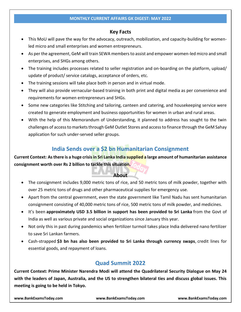### **Key Facts**

- This MoU will pave the way for the advocacy, outreach, mobilization, and capacity-building for womenled micro and small enterprises and women entrepreneurs.
- As per the agreement, GeM will train SEWA members to assist and empower women-led micro and small enterprises, and SHGs among others.
- The training includes processes related to seller registration and on-boarding on the platform, upload/ update of product/ service catalogs, acceptance of orders, etc.
- The training sessions will take place both in person and in virtual mode.
- They will also provide vernacular-based training in both print and digital media as per convenience and requirements for women entrepreneurs and SHGs.
- Some new categories like Stitching and tailoring, canteen and catering, and housekeeping service were created to generate employment and business opportunities for women in urban and rural areas.
- With the help of this Memorandum of Understanding, it planned to address has sought to the twin challenges of access to markets through GeM Outlet Stores and access to finance through the GeM Sahay application for such under-served seller groups.

## **India Sends over a \$2 bn Humanitarian Consignment**

**Current Context: As there is a huge crisis in Sri Lanka India supplied a large amount of humanitarian assistance consignment worth over Rs 2 billion to tackle this situation.**

### **About**

- The consignment includes 9,000 metric tons of rice, and 50 metric tons of milk powder, together with over 25 metric tons of drugs and other pharmaceutical supplies for emergency use.
- Apart from the central government, even the state government like Tamil Nadu has sent humanitarian consignment consisting of 40,000 metric tons of rice, 500 metric tons of milk powder, and medicines.
- It's been **approximately USD 3.5 billion in support has been provided to Sri Lanka** from the Govt of India as well as various private and social organizations since January this year.
- Not only this in past during pandemics when fertilizer turmoil takes place India delivered nano fertilizer to save Sri Lankan farmers.
- Cash-strapped **\$3 bn has also been provided to Sri Lanka through currency swaps**, credit lines for essential goods, and repayment of loans.

## **Quad Summit 2022**

**Current Context: Prime Minister Narendra Modi will attend the Quadrilateral Security Dialogue on May 24 with the leaders of Japan, Australia, and the US to strengthen bilateral ties and discuss global issues. This meeting is going to be held in Tokyo.**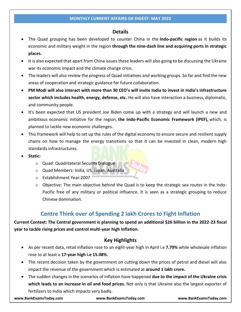#### **Details**

- The Quad grouping has been developed to counter China in the **Indo-pacific region** as it builds its economic and military weight in the region **through the nine-dash line and acquiring ports in strategic places.**
- It is also expected that apart from China issues these leaders will also going to be discussing the Ukraine war its economic impact and the climate change crisis.
- The leaders will also review the progress of Quad initiatives and working groups. So far and find the new areas of cooperation and strategic guidance for future collaboration.
- **PM Modi will also interact with more than 30 CEO's will invite India to invest in India's infrastructure sector which includes health, energy, defense, etc.** He will also have interaction a business, diplomatic, and community people.
- It's been expected that US president Joe Biden come up with a strategy and will launch a new and ambitious economic initiative for the region, **the Indo-Pacific Economic Framework (IPEF),** which, is planned to tackle new economic challenges.
- This framework will help to set up the rules of the digital economy to ensure secure and resilient supply chains on how to manage the energy transitions so that it can be invested in clean, modern high standards infrastructures.
- **Static:**
	- o Quad: Quadrilateral Security Dialogue
	- o Quad Members: India, US. Japan, Australia
	- o Establishment Year:2007
	- $\circ$  Objective: The main objective behind the Quad is to keep the strategic sea routes in the Indo-Pacific free of any military or political influence. It is seen as a strategic grouping to reduce Chinese domination.

## **Centre Think over of Spending 2 lakh Crores to Fight Inflation**

### **Current Context: The Central government is planning to spend an additional \$26 billion in the 2022-23 fiscal year to tackle rising prices and control multi-year high inflation.**

### **Key Highlights**

- As per recent data, retail inflation rose to an eight-year high in April i.e **7.79%** while wholesale inflation rose to at least a **17-year high i.e 15.08%.**
- The recent decision taken by the government on cutting down the prices of petrol and diesel will also impact the revenue of the government which is estimated at **around 1 lakh crore.**
- The sudden changes in the scenarios of inflation have happened **due to the impact of the Ukraine crisis which leads to an increase in oil and food prices.** Not only is that Ukraine also the largest exporter of fertilizers to India which impacts very badly.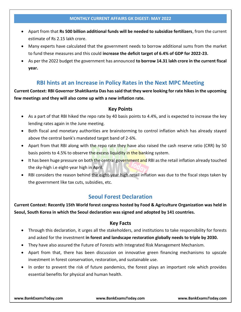- Apart from that **Rs 500 billion additional funds will be needed to subsidize fertilizers**, from the current estimate of Rs 2.15 lakh crore.
- Many experts have calculated that the government needs to borrow additional sums from the market to fund these measures and this could **increase the deficit target of 6.4% of GDP for 2022-23.**
- As per the 2022 budget the government has announced **to borrow 14.31 lakh crore in the current fiscal year.**

## **RBI hints at an Increase in Policy Rates in the Next MPC Meeting**

**Current Context: RBI Governor Shaktikanta Das has said that they were looking for rate hikes in the upcoming few meetings and they will also come up with a new inflation rate.**

### **Key Points**

- As a part of that RBI hiked the repo rate by 40 basis points to 4.4%, and is expected to increase the key lending rates again in the June meeting.
- Both fiscal and monetary authorities are brainstorming to control inflation which has already stayed above the central bank's mandated target band of 2-6%.
- Apart from that RBI along with the repo rate they have also raised the cash reserve ratio (CRR) by 50 basis points to 4.5% to observe the excess liquidity in the banking system.
- It has been huge pressure on both the central government and RBI as the retail inflation already touched the sky-high i.e eight-year high in April.
- RBI considers the reason behind the eight-year high retail inflation was due to the fiscal steps taken by the government like tax cuts, subsidies, etc.

## **Seoul Forest Declaration**

**Current Context: Recently 15th World forest congress hosted by Food & Agriculture Organization was held in Seoul, South Korea in which the Seoul declaration was signed and adopted by 141 countries.**

### **Key Facts**

- Through this declaration, it urges all the stakeholders, and institutions to take responsibility for forests and asked for the investment **in forest and landscape restoration globally needs to triple by 2030.**
- They have also assured the Future of Forests with Integrated Risk Management Mechanism.
- Apart from that, there has been discussion on innovative green financing mechanisms to upscale investment in forest conservation, restoration, and sustainable use.
- In order to prevent the risk of future pandemics, the forest plays an important role which provides essential benefits for physical and human health.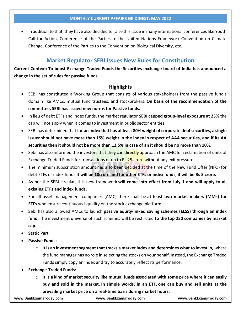In addition to that, they have also decided to raise this issue in many international conferences like Youth Call for Action, Conference of the Parties to the United Nations Framework Convention on Climate Change, Conference of the Parties to the Convention on Biological Diversity, etc.

## **Market Regulator SEBI Issues New Rules for Constitution**

**Current Context: To boost Exchange Traded Funds the Securities exchange board of India has announced a change in the set of rules for passive funds.**

### **Highlights**

- SEBI has constituted a Working Group that consists of various stakeholders from the passive fund's domain like AMCs, mutual fund trustees, and stockbrokers. **On basis of the recommendation of the committee, SEBI has issued new norms for Passive funds.**
- In lieu of debt ETFs and index funds, the market regulator **SEBI capped group-level exposure at 25%** the cap will not apply when it comes to investment in public sector entities.
- SEBI has determined that for **an index that has at least 80% weight of corporate debt securities, a single issuer should not have more than 15% weight in the index in respect of AAA securities, and if its AA securities then it should not be more than 12.5% in case of an it should be no more than 10%.**
- Sebi has also informed the investors that they can directly approach the AMC for reclamation of units of Exchange Traded Funds for transactions of up to R<sub>S</sub> 25 crore without any exit pressure.
- The minimum subscription amount has also been decided at the time of the New Fund Offer (NFO) for debt ETFs or index funds **it will be 10crore and for other ETFs or index funds, it will be Rs 5 crore.**
- As per the SEBI circular, this new framework **will come into effect from July 1 and will apply to all existing ETFs and index funds.**
- For all asset management companies (AMC) there shall be **at least two market makers (MMs) for ETFs** who ensure continuous liquidity on the stock exchange platform.
- Sebi has also allowed AMCs to launch **passive equity-linked saving schemes (ELSS) through an index fund.** The investment universe of such schemes will be restricted **to the top 250 companies by market cap.**
- **Static Part**
- **Passive Funds:**
	- o **It is an investment segment that tracks a market index and determines what to invest in,** where the fund manager has no role in selecting the stocks on your behalf. Instead, the Exchange Traded Funds simply copy an index and try to accurately reflect its performance.
- **Exchange-Traded Funds:**
	- o **It is a kind of market security like mutual funds associated with some price where it can easily buy and sold in the market. In simple words, in an ETF, one can buy and sell units at the prevailing market price on a real-time basis during market hours.**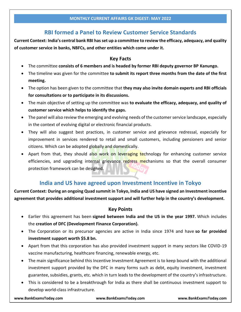## **RBI formed a Panel to Review Customer Service Standards**

**Current Context: India's central bank RBI has set up a committee to review the efficacy, adequacy, and quality of customer service in banks, NBFCs, and other entities which come under it.**

### **Key Facts**

- The committee **consists of 6 members and is headed by former RBI deputy governor BP Kanungo.**
- The timeline was given for the committee **to submit its report three months from the date of the first meeting.**
- The option has been given to the committee that **they may also invite domain experts and RBI officials for consultations or to participate in its discussions.**
- The main objective of setting up the committee was **to evaluate the efficacy, adequacy, and quality of customer service which helps to identify the gaps.**
- The panel will also review the emerging and evolving needs of the customer service landscape, especially in the context of evolving digital or electronic financial products.
- They will also suggest best practices, in customer service and grievance redressal, especially for improvement in services rendered to retail and small customers, including pensioners and senior citizens. Which can be adopted globally and domestically.
- Apart from that, they should also work on leveraging technology for enhancing customer service efficiencies, and upgrading internal grievance redress mechanisms so that the overall consumer protection framework can be designed.

## **India and US have agreed upon Investment Incentive in Tokyo**

**Current Context: During an ongoing Quad summit in Tokyo, India and US have signed an Investment incentive agreement that provides additional investment support and will further help in the country's development.**

### **Key Points**

- Earlier this agreement has been **signed between India and the US in the year 1997.** Which includes the **creation of DFC (Development Finance Corporation).**
- The Corporation or its precursor agencies are active in India since 1974 and have **so far provided investment support worth \$5.8 bn.**
- Apart from that this corporation has also provided investment support in many sectors like COVID-19 vaccine manufacturing, healthcare financing, renewable energy, etc.
- The main significance behind this Incentive Investment Agreement is to keep bound with the additional investment support provided by the DFC in many forms such as debt, equity investment, investment guarantee, subsidies, grants, etc. which in turn leads to the development of the country's infrastructure.
- This is considered to be a breakthrough for India as there shall be continuous investment support to develop world-class infrastructure.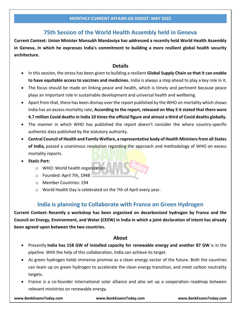## **75th Session of the World Health Assembly held in Geneva**

**Current Context: Union Minister Mansukh Mandaviya has addressed a recently held World Health Assembly in Geneva, in which he expresses India's commitment to building a more resilient global health security architecture.**

#### **Details**

- In this session, the stress has been given to building a resilient **Global Supply Chain so that it can enable to have equitable access to vaccines and medicines.** India is always a step ahead to play a key role in it.
- The focus should be made on linking peace and health, which is timely and pertinent because peace plays an important role in sustainable development and universal health and wellbeing.
- Apart from that, there has been dismay over the report published by the WHO on mortality which shows India has an excess mortality rate, **According to the report, released on May 5 it stated that there were 4.7 million Covid deaths in India 10 times the official figure and almost a third of Covid deaths globally.**
- The manner in which WHO has published the report doesn't consider the where country-specific authentic data published by the statutory authority.
- **Central Council of Health and Family Welfare, a representative body of Health Ministers from all States of India,** passed a unanimous resolution regarding the approach and methodology of WHO on excess mortality reports.
- **Static Part:**
	- o WHO: World health organization
	- o Founded: April 7th, 1948
	- o Member Countries: 194
	- o World Health Day is celebrated on the 7th of April every year.

## **India is planning to Collaborate with France on Green Hydrogen**

**Current Context: Recently a workshop has been organized on decarbonized hydrogen by France and the Council on Energy, Environment, and Water (CEEW) in India in which a joint declaration of intent has already been agreed upon between the two countries.**

### **About**

- Presently **India has 158 GW of installed capacity for renewable energy and another 87 GW** is in the pipeline. With the help of this collaboration, India can achieve its target.
- As green hydrogen holds immense promise as a clean energy vector of the future. Both the countries can team up on green hydrogen to accelerate the clean energy transition, and meet carbon neutrality targets.
- France is a co-founder International solar alliance and also set up a cooperation roadmap between relevant ministries on renewable energy.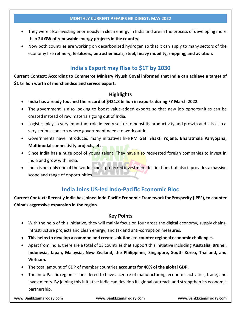- They were also investing enormously in clean energy in India and are in the process of developing more than **24 GW of renewable energy projects in the country.**
- Now both countries are working on decarbonized hydrogen so that it can apply to many sectors of the economy like **refinery, fertilizers, petrochemicals, steel, heavy mobility, shipping, and aviation.**

## **India's Export may Rise to \$1T by 2030**

**Current Context: According to Commerce Ministry Piyush Goyal informed that India can achieve a target of \$1 trillion worth of merchandise and service export.**

### **Highlights**

- **India has already touched the record of \$421.8 billion in exports during FY March 2022.**
- The government is also looking to boost value-added exports so that new job opportunities can be created instead of raw materials going out of India.
- Logistics plays a very important role in every sector to boost its productivity and growth and it is also a very serious concern where government needs to work out In.
- Governments have introduced many initiatives like **PM Gati Shakti Yojana, Bharatmala Pariyojana, Multimodal connectivity projects, etc.**
- Since India has a huge pool of young talent. They have also requested foreign companies to invest in India and grow with India.
- India is not only one of the world's most preferred investment destinations but also it provides a massive scope and range of opportunities.

## **India Joins US-led Indo-Pacific Economic Bloc**

**Current Context: Recently India has joined Indo-Pacific Economic Framework for Prosperity (IPEF), to counter China's aggressive expansion in the region.**

### **Key Points**

- With the help of this initiative, they will mainly focus on four areas the digital economy, supply chains, infrastructure projects and clean energy, and tax and anti-corruption measures.
- **This helps to develop a common and create solutions to counter regional economic challenges.**
- Apart from India, there are a total of 13 countries that support this initiative including **Australia, Brunei, Indonesia, Japan, Malaysia, New Zealand, the Philippines, Singapore, South Korea, Thailand, and Vietnam.**
- The total amount of GDP of member countries **accounts for 40% of the global GDP.**
- The Indo-Pacific region is considered to have a centre of manufacturing, economic activities, trade, and investments. By joining this initiative India can develop its global outreach and strengthen its economic partnership.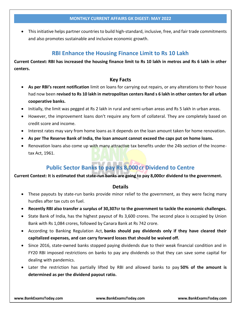This initiative helps partner countries to build high-standard, inclusive, free, and fair trade commitments and also promotes sustainable and inclusive economic growth.

### **RBI Enhance the Housing Finance Limit to Rs 10 Lakh**

**Current Context: RBI has increased the housing finance limit to Rs 10 lakh in metros and Rs 6 lakh in other centers.**

### **Key Facts**

- **As per RBI's recent notification** limit on loans for carrying out repairs, or any alterations to their house had now been **revised to Rs 10 lakh in metropolitan centers Rand s 6 lakh in other centers for all urban cooperative banks.**
- Initially, the limit was pegged at Rs 2 lakh in rural and semi-urban areas and Rs 5 lakh in urban areas.
- However, the improvement loans don't require any form of collateral. They are completely based on credit score and income.
- Interest rates may vary from home loans as it depends on the loan amount taken for home renovation.
- **As per The Reserve Bank of India, the loan amount cannot exceed the caps put on home loans.**
- Renovation loans also come up with many attractive tax benefits under the 24b section of the Incometax Act, 1961.

## **Public Sector Banks to pay Rs 8,000 cr Dividend to Centre**

#### **Current Context: It is estimated that state-run banks are going to pay 8,000cr dividend to the government.**

#### **Details**

- These payouts by state-run banks provide minor relief to the government, as they were facing many hurdles after tax cuts on fuel.
- **Recently RBI also transfer a surplus of 30,307cr to the government to tackle the economic challenges.**
- State Bank of India, has the highest payout of Rs 3,600 crores. The second place is occupied by Union Bank with Rs 1,084 crores, followed by Canara Bank at Rs 742 crore.
- According to Banking Regulation Act, **banks should pay dividends only if they have cleared their capitalized expenses, and can carry forward losses that should be waived off.**
- Since 2016, state-owned banks stopped paying dividends due to their weak financial condition and in FY20 RBI imposed restrictions on banks to pay any dividends so that they can save some capital for dealing with pandemics.
- Later the restriction has partially lifted by RBI and allowed banks to pay **50% of the amount is determined as per the dividend payout ratio.**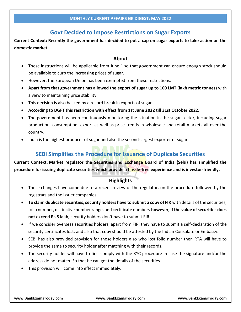## **Govt Decided to Impose Restrictions on Sugar Exports**

**Current Context: Recently the government has decided to put a cap on sugar exports to take action on the domestic market.**

#### **About**

- These instructions will be applicable from June 1 so that government can ensure enough stock should be available to curb the increasing prices of sugar.
- However, the European Union has been exempted from these restrictions.
- **Apart from that government has allowed the export of sugar up to 100 LMT (lakh metric tonnes)** with a view to maintaining price stability.
- This decision is also backed by a record break in exports of sugar.
- **According to DGFT this restriction with effect from 1st June 2022 till 31st October 2022.**
- The government has been continuously monitoring the situation in the sugar sector, including sugar production, consumption, export as well as price trends in wholesale and retail markets all over the country.
- India is the highest producer of sugar and also the second-largest exporter of sugar.

## **SEBI Simplifies the Procedure for Issuance of Duplicate Securities**

**Current Context: Market regulator the Securities and Exchange Board of India (Sebi) has simplified the procedure for issuing duplicate securities which provide a hassle-free experience and is investor-friendly.**

### **Highlights**

- These changes have come due to a recent review of the regulator, on the procedure followed by the registrars and the issuer companies.
- **To claim duplicate securities, security holders have to submit a copy of FIR** with details of the securities, folio number, distinctive number range, and certificate numbers **however, if the value of securities does not exceed Rs 5 lakh,** security holders don't have to submit FIR.
- If we consider overseas securities holders, apart from FIR, they have to submit a self-declaration of the security certificates lost, and also that copy should be attested by the Indian Consulate or Embassy.
- SEBI has also provided provision for those holders also who lost folio number then RTA will have to provide the same to security holder after matching with their records.
- The security holder will have to first comply with the KYC procedure In case the signature and/or the address do not match. So that he can get the details of the securities.
- This provision will come into effect immediately.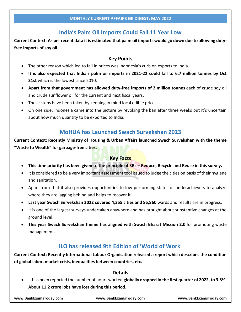## **India's Palm Oil Imports Could Fall 11 Year Low**

**Current Context: As per recent data it is estimated that palm oil imports would go down due to allowing dutyfree imports of soy oil.**

### **Key Points**

- The other reason which led to fall in prices was Indonesia's curb on exports to India.
- **It is also expected that India's palm oil imports in 2021-22 could fall to 6.7 million tonnes by Oct 31st** which is the lowest since 2010.
- **Apart from that government has allowed duty-free imports of 2 million tonnes** each of crude soy oil and crude sunflower oil for the current and next fiscal years.
- These steps have been taken by keeping in mind local edible prices.
- On one side, Indonesia came into the picture by revoking the ban after three weeks but it's uncertain about how much quantity to be exported to India.

## **MoHUA has Launched Swach Survekshan 2023**

**Current Context: Recently Ministry of Housing & Urban Affairs launched Swach Survekshan with the theme "Waste to Wealth" for garbage-free cities.**

### **Key Facts**

- **This time priority has been given to the principle of 3Rs – Reduce, Recycle and Reuse in this survey.**
- It is considered to be a very important assessment tool issued to judge the cities on basis of their hygiene and sanitation.
- Apart from that it also provides opportunities to low-performing states or underachievers to analyze where they are lagging behind and helps to recover it.
- **Last year Swach Survekshan 2022 covered 4,355 cities and 85,860** wards and results are in progress.
- It is one of the largest surveys undertaken anywhere and has brought about substantive changes at the ground level.
- **This year Swach Survekshan theme has aligned with Swach Bharat Mission 2.0** for promoting waste management.

## **ILO has released 9th Edition of 'World of Work'**

**Current Context: Recently International Labour Organisation released a report which describes the condition of global labor, market crisis, inequalities between countries, etc.**

## **Details**

 It has been reported the number of hours worked **globally dropped in the first quarter of 2022, to 3.8%. About 11.2 crore jobs have lost during this period.**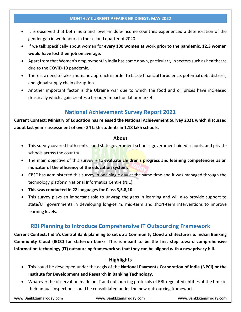- It is observed that both India and lower-middle-income countries experienced a deterioration of the gender gap in work hours in the second quarter of 2020.
- If we talk specifically about women for **every 100 women at work prior to the pandemic, 12.3 women would have lost their job on average.**
- Apart from that Women's employment in India has come down, particularly in sectors such as healthcare due to the COVID-19 pandemic.
- There is a need to take a humane approach in order to tackle financial turbulence, potential debt distress, and global supply chain disruption.
- Another important factor is the Ukraine war due to which the food and oil prices have increased drastically which again creates a broader impact on labor markets.

## **National Achievement Survey Report 2021**

## **Current Context: Ministry of Education has released the National Achievement Survey 2021 which discussed about last year's assessment of over 34 lakh students in 1.18 lakh schools.**

#### **About**

- This survey covered both central and state government schools, government-aided schools, and private schools across the country.
- The main objective of this survey is to evaluate children's progress and learning competencies as an **indicator of the efficiency of the education system.**
- CBSE has administered this survey in one single day at the same time and it was managed through the technology platform National Informatics Centre (NIC).
- **This was conducted in 22 languages for Class 3,5,8,10.**
- This survey plays an important role to unwrap the gaps in learning and will also provide support to state/UT governments in developing long-term, mid-term and short-term interventions to improve learning levels.

## **RBI Planning to Introduce Comprehensive IT Outsourcing Framework**

**Current Context: India's Central Bank planning to set up a Community Cloud architecture i.e. Indian Banking Community Cloud (IBCC) for state-run banks. This is meant to be the first step toward comprehensive information technology (IT) outsourcing framework so that they can be aligned with a new privacy bill.**

### **Highlights**

- This could be developed under the aegis of the **National Payments Corporation of India (NPCI) or the Institute for Development and Research in Banking Technology.**
- Whatever the observation made on IT and outsourcing protocols of RBI-regulated entities at the time of their annual inspections could be consolidated under the new outsourcing framework.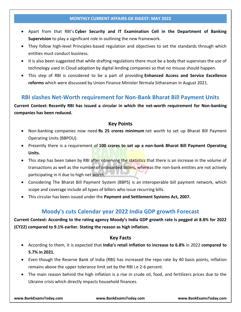- Apart from that RBI's **Cyber Security and IT Examination Cell in the Department of Banking Supervision** to play a significant role in outlining the new framework.
- They follow high-level Principles-based regulation and objectives to set the standards through which entities must conduct business.
- It is also been suggested that while drafting regulations there must be a body that supervises the use of technology used in Cloud adoption by digital lending companies so that no misuse should happen.
- This step of RBI is considered to be a part of providing **Enhanced Access and Service Excellence reforms** which were discussed by Union Finance Minister Nirmala Sitharaman in August 2021.

## **RBI slashes Net-Worth requirement for Non-Bank Bharat Bill Payment Units**

**Current Context: Recently RBI has issued a circular in which the net-worth requirement for Non-banking companies has been reduced.**

### **Key Points**

- Non-banking companies now need **Rs 25 crores minimum** net worth to set up Bharat Bill Payment Operating Units (BBPOU).
- Presently there is a requirement of **100 crores to set up a non-bank Bharat Bill Payment Operating Units.**
- This step has been taken by RBI after observing the statistics that there is an increase in the volume of transactions as well as the number of onboarded billers, whereas the non-bank entities are not actively participating in it due to high net worth.
- Considering The Bharat Bill Payment System (BBPS) is an interoperable bill payment network, which scope and coverage include all types of billers who issue recurring bills.
- This circular has been issued under the **Payment and Settlement Systems Act, 2007.**

## **Moody's cuts Calendar year 2022 India GDP growth Forecast**

**Current Context: According to the rating agency Moody's India GDP growth rate is pegged at 8.8% for 2022 (CY22) compared to 9.1% earlier. Stating the reason as high inflation.**

#### **Key Facts**

- According to them, it is expected that **India's retail inflation to increase to 6.8%** in 2022 **compared to 5.7% in 2021.**
- Even though the Reserve Bank of India (RBI) has increased the repo rate by 40 basis points, inflation remains above the upper tolerance limit set by the RBI i.e 2-6 percent.
- The main reason behind the high inflation is a rise in crude oil, food, and fertilizers prices due to the Ukraine crisis which directly impacts household finances.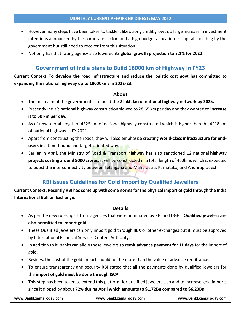- However many steps have been taken to tackle it like strong credit growth, a large increase in investment intentions announced by the corporate sector, and a high budget allocation to capital spending by the government but still need to recover from this situation.
- Not only has that rating agency also lowered **its global growth projection to 3.1% for 2022.**

## **Government of India plans to Build 18000 km of Highway in FY23**

**Current Context: To develop the road infrastructure and reduce the logistic cost govt has committed to expanding the national highway up to 18000kms in 2022-23.**

#### **About**

- The main aim of the government is to build **the 2 lakh km of national highway network by 2025.**
- Presently India's national highway construction slowed to 28.65 km per day and they wanted to **increase it to 50 km per day.**
- As of now a total length of 4325 km of national highway constructed which is higher than the 4218 km of national highway in FY 2021.
- Apart from constructing the roads, they will also emphasize creating **world-class infrastructure for endusers** in a time-bound and target-oriented way.
- Earlier in April, the Ministry of Road & Transport highway has also sanctioned 12 national **highway projects costing around 8000 crores, it will be constructed in a** total length of 460kms which is expected to boost the interconnectivity between Telangana and Maharastra, Karnataka, and Andhrapradesh.

## **RBI issues Guidelines for Gold Import by Qualified Jewellers**

**Current Context: Recently RBI has come up with some norms for the physical import of gold through the India International Bullion Exchange.**

#### **Details**

- As per the new rules apart from agencies that were nominated by RBI and DGFT. **Qualified jewelers are also permitted to import gold.**
- These Qualified jewelers can only import gold through IIBX or other exchanges but it must be approved by International Financial Services Centers Authority.
- In addition to it, banks can allow these jewelers **to remit advance payment for 11 days** for the import of gold.
- Besides, the cost of the gold import should not be more than the value of advance remittance.
- To ensure transparency and security RBI stated that all the payments done by qualified jewelers for the **import of gold must be done through ISCA.**
- This step has been taken to extend this platform for qualified jewelers also and to increase gold imports since it dipped by about **72% during April which amounts to \$1.72Bn compared to \$6.23Bn.**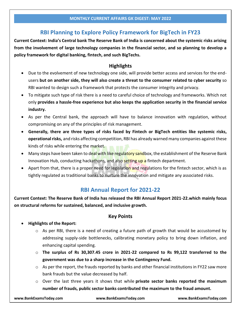## **RBI Planning to Explore Policy Framework for BigTech in FY23**

**Current Context: India's Central bank The Reserve Bank of India is concerned about the systemic risks arising from the involvement of large technology companies in the financial sector, and so planning to develop a policy framework for digital banking, fintech, and such BigTechs.**

### **Highlights**

- Due to the evolvement of new technology one side, will provide better access and services for the endusers **but on another side, they will also create a threat to the consumer related to cyber security** so RBI wanted to design such a framework that protects the consumer integrity and privacy.
- To mitigate such type of risk there is a need to careful choice of technology and frameworks. Which not only **provides a hassle-free experience but also keeps the application security in the financial service industry.**
- As per the Central bank, the approach will have to balance innovation with regulation, without compromising on any of the principles of risk management.
- **Generally, there are three types of risks faced by Fintech or BigTech entities like systemic risks, operational risks,** and risks affecting competition, RBI has already warned many companies against these kinds of risks while entering the market.
- Many steps have been taken to deal with like regulatory sandbox, the establishment of the Reserve Bank Innovation Hub, conducting hackathons, and also setting up a fintech department.
- Apart from that, there is a proper need for legislation and regulations for the fintech sector, which is as tightly regulated as traditional banks to nurture the innovation and mitigate any associated risks.

## **RBI Annual Report for 2021-22**

**Current Context: The Reserve Bank of India has released the RBI Annual Report 2021-22.which mainly focus on structural reforms for sustained, balanced, and inclusive growth.**

### **Key Points**

### **Highlights of the Report:**

- $\circ$  As per RBI, there is a need of creating a future path of growth that would be accustomed by addressing supply-side bottlenecks, calibrating monetary policy to bring down inflation, and enhancing capital spending.
- o **The surplus of Rs 30,307.45 crore in 2021-22 compared to Rs 99,122 transferred to the government was due to a sharp increase in the Contingency Fund.**
- $\circ$  As per the report, the frauds reported by banks and other financial institutions in FY22 saw more bank frauds but the value decreased by half.
- o Over the last three years it shows that while **private sector banks reported the maximum number of frauds, public sector banks contributed the maximum to the fraud amount.**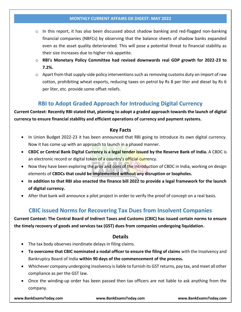- $\circ$  In this report, it has also been discussed about shadow banking and red-flagged non-banking financial companies (NBFCs) by observing that the balance sheets of shadow banks expanded even as the asset quality deteriorated. This will pose a potential threat to financial stability as their size increases due to higher risk appetite.
- o **RBI's Monetary Policy Committee had revised downwards real GDP growth for 2022-23 to 7.2%.**
- $\circ$  Apart from that supply-side policy interventions such as removing customs duty on import of raw cotton, prohibiting wheat exports, reducing taxes on petrol by Rs 8 per liter and diesel by Rs 6 per liter, etc. provide some offset reliefs.

## **RBI to Adopt Graded Approach for Introducing Digital Currency**

**Current Context: Recently RBI stated that, planning to adopt a graded approach towards the launch of digital currency to ensure financial stability and efficient operations of currency and payment systems.**

### **Key Facts**

- In Union Budget 2022-23 it has been announced that RBI going to introduce its own digital currency. Now it has come up with an approach to launch in a phased manner.
- **CBDC or Central Bank Digital Currency is a legal tender issued by the Reserve Bank of India.** A CBDC is an electronic record or digital token of a country's official currency.
- Now they have been exploring the pros and cons of the introduction of CBDC in India, working on design elements of **CBDCs that could be implemented without any disruption or loopholes.**
- **In addition to that RBI also enacted the finance bill 2022 to provide a legal framework for the launch of digital currency.**
- After that bank will announce a pilot project in order to verify the proof of concept on a real basis.

## **CBIC issued Norms for Recovering Tax Dues from Insolvent Companies**

**Current Context: The Central Board of Indirect Taxes and Customs (CBIC) has issued certain norms to ensure the timely recovery of goods and services tax (GST) dues from companies undergoing liquidation.**

### **Details**

- The tax body observes inordinate delays in filing claims.
- **To overcome that CBIC nominated a nodal officer to ensure the filing of claims** with the Insolvency and Bankruptcy Board of India **within 90 days of the commencement of the process.**
- Whichever company undergoing insolvency is liable to furnish its GST returns, pay tax, and meet all other compliance as per the GST law.
- Once the winding-up order has been passed then tax officers are not liable to ask anything from the company.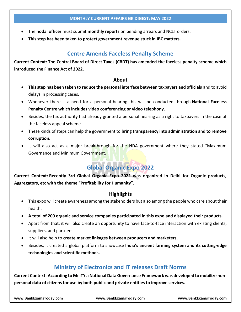- The **nodal officer** must submit **monthly reports** on pending arrears and NCLT orders.
- **This step has been taken to protect government revenue stuck in IBC matters.**

## **Centre Amends Faceless Penalty Scheme**

**Current Context: The Central Board of Direct Taxes (CBDT) has amended the faceless penalty scheme which introduced the Finance Act of 2022.**

### **About**

- **This step has been taken to reduce the personal interface between taxpayers and officials** and to avoid delays in processing cases.
- Whenever there is a need for a personal hearing this will be conducted through **National Faceless Penalty Centre which includes video conferencing or video telephony.**
- Besides, the tax authority had already granted a personal hearing as a right to taxpayers in the case of the faceless appeal scheme
- These kinds of steps can help the government to **bring transparency into administration and to remove corruption.**
- It will also act as a major breakthrough for the NDA government where they stated "Maximum Governance and Minimum Government.

# **Global Organic Expo 2022**

**Current Context: Recently 3rd Global Organic Expo 2022 was organized in Delhi for Organic products, Aggregators, etc with the theme "Profitability for Humanity".**

### **Highlights**

- This expo will create awareness among the stakeholders but also among the people who care about their health.
- **A total of 200 organic and service companies participated in this expo and displayed their products.**
- Apart from that, it will also create an opportunity to have face-to-face interaction with existing clients, suppliers, and partners.
- It will also help to **create market linkages between producers and marketers.**
- Besides, it created a global platform to showcase **India's ancient farming system and its cutting-edge technologies and scientific methods.**

## **Ministry of Electronics and IT releases Draft Norms**

**Current Context: According to MeiTY a National Data Governance Framework was developed to mobilize nonpersonal data of citizens for use by both public and private entities to improve services.**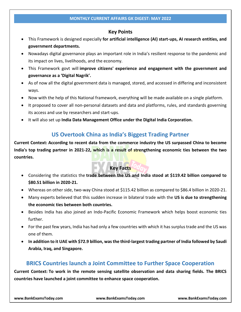### **Key Points**

- This Framework is designed especially **for artificial intelligence (AI) start-ups, AI research entities, and government departments.**
- Nowadays digital governance plays an important role in India's resilient response to the pandemic and its impact on lives, livelihoods, and the economy.
- This Framework govt will **improve citizens' experience and engagement with the government and governance as a 'Digital Nagrik'.**
- As of now all the digital government data is managed, stored, and accessed in differing and inconsistent ways.
- Now with the help of this National framework, everything will be made available on a single platform.
- It proposed to cover all non-personal datasets and data and platforms, rules, and standards governing its access and use by researchers and start-ups.
- It will also set up **India Data Management Office under the Digital India Corporation.**

## **US Overtook China as India's Biggest Trading Partner**

**Current Context: According to recent data from the commerce industry the US surpassed China to become India's top trading partner in 2021-22, which is a result of strengthening economic ties between the two countries.**

### **Key Facts**

- Considering the statistics the **trade between the US and India stood at \$119.42 billion compared to \$80.51 billion in 2020-21.**
- Whereas on other side, two-way China stood at \$115.42 billion as compared to \$86.4 billion in 2020-21.
- Many experts believed that this sudden increase in bilateral trade with the **US is due to strengthening the economic ties between both countries.**
- Besides India has also joined an Indo-Pacific Economic Framework which helps boost economic ties further.
- For the past few years, India has had only a few countries with which it has surplus trade and the US was one of them.
- **In addition to it UAE with \$72.9 billion, was the third-largest trading partner of India followed by Saudi Arabia, Iraq, and Singapore.**

## **BRICS Countries launch a Joint Committee to Further Space Cooperation**

**Current Context: To work in the remote sensing satellite observation and data sharing fields. The BRICS countries have launched a joint committee to enhance space cooperation.**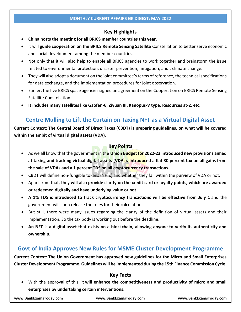### **Key Highlights**

- **China hosts the meeting for all BRICS member countries this year.**
- It will **guide cooperation on the BRICS Remote Sensing Satellite** Constellation to better serve economic and social development among the member countries.
- Not only that it will also help to enable all BRICS agencies to work together and brainstorm the issue related to environmental protection, disaster prevention, mitigation, and t climate change.
- They will also adopt a document on the joint committee's terms of reference, the technical specifications for data exchange, and the implementation procedures for joint observation.
- Earlier, the five BRICS space agencies signed an agreement on the Cooperation on BRICS Remote Sensing Satellite Constellation.
- **It includes many satellites like Gaofen-6, Ziyuan III, Kanopus-V type, Resources at-2, etc.**

## **Centre Mulling to Lift the Curtain on Taxing NFT as a Virtual Digital Asset**

**Current Context: The Central Board of Direct Taxes (CBDT) is preparing guidelines, on what will be covered within the ambit of virtual digital assets (VDA).**

### **Key Points**

- As we all know that the government in the **Union Budget for 2022-23 introduced new provisions aimed at taxing and tracking virtual digital assets (VDAs). Introduced a flat 30 percent tax on all gains from the sale of VDAs and a 1 percent TDS on all cryptocurrency transactions.**
- CBDT will define non-fungible tokens (NFTs) and whether they fall within the purview of VDA or not.
- Apart from that, they **will also provide clarity on the credit card or loyalty points, which are awarded or redeemed digitally and have underlying value or not.**
- **A 1% TDS is introduced to track cryptocurrency transactions will be effective from July 1** and the government will soon release the rules for their calculation.
- But still, there were many issues regarding the clarity of the definition of virtual assets and their implementation. So the tax body is working out before the deadline.
- **An NFT is a digital asset that exists on a blockchain, allowing anyone to verify its authenticity and ownership.**

## **Govt of India Approves New Rules for MSME Cluster Development Programme**

**Current Context: The Union Government has approved new guidelines for the Micro and Small Enterprises Cluster Development Programme. Guidelines will be implemented during the 15th Finance Commission Cycle.**

### **Key Facts**

 With the approval of this, it **will enhance the competitiveness and productivity of micro and small enterprises by undertaking certain interventions.**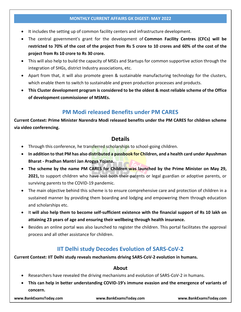#### **MONTHLY CURRENT AFFAIRS GK DIGEST: MAY 2022**

- It includes the setting up of common facility centers and infrastructure development.
- The central government's grant for the development of **Common Facility Centres (CFCs) will be restricted to 70% of the cost of the project from Rs 5 crore to 10 crores and 60% of the cost of the project from Rs 10 crore to Rs 30 crore.**
- This will also help to build the capacity of MSEs and Startups for common supportive action through the integration of SHGs, district Industry associations, etc.
- Apart from that, it will also promote green & sustainable manufacturing technology for the clusters, which enable them to switch to sustainable and green production processes and products.
- **This Cluster development program is considered to be the oldest & most reliable scheme of the Office of development commissioner of MSMEs.**

# **PM Modi released Benefits under PM CARES**

**Current Context: Prime Minister Narendra Modi released benefits under the PM CARES for children scheme via video conferencing.**

# **Details**

- Through this conference, he transferred scholarships to school-going children.
- **In addition to that PM has also distributed a passbook for Children, and a health card under Ayushman Bharat - Pradhan Mantri Jan Arogya Yojana.**
- **The scheme by the name PM CARES for Children was launched by the Prime Minister on May 29, 2021,** to support children who have lost both their parents or legal guardian or adoptive parents, or surviving parents to the COVID-19 pandemic.
- The main objective behind this scheme is to ensure comprehensive care and protection of children in a sustained manner by providing them boarding and lodging and empowering them through education and scholarships etc.
- It **will also help them to become self-sufficient existence with the financial support of Rs 10 lakh on attaining 23 years of age and ensuring their wellbeing through health insurance.**
- Besides an online portal was also launched to register the children. This portal facilitates the approval process and all other assistance for children.

# **IIT Delhi study Decodes Evolution of SARS-CoV-2**

**Current Context: IIT Delhi study reveals mechanisms driving SARS-CoV-2 evolution in humans.**

### **About**

- Researchers have revealed the driving mechanisms and evolution of SARS-CoV-2 in humans.
- **This can help in better understanding COVID-19's immune evasion and the emergence of variants of concern.**

**www.BankExamsToday.com www.BankExamsToday.com www.BankExamsToday.com**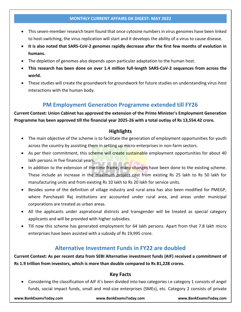#### **MONTHLY CURRENT AFFAIRS GK DIGEST: MAY 2022**

- This seven-member research team found that once cytosine numbers in virus genomes have been linked to host-switching, the virus replication will start and it develops the ability of a virus to cause disease.
- **It is also noted that SARS-CoV-2 genomes rapidly decrease after the first few months of evolution in humans.**
- The depletion of genomes also depends upon particular adaptation to the human host.
- **This research has been done on over 1.4 million full-length SARS-CoV-2 sequences from across the world.**
- These studies will create the groundwork for groundwork for future studies on understanding virus-host interactions with the human body.

# **PM Employment Generation Programme extended till FY26**

**Current Context: Union Cabinet has approved the extension of the Prime Minister's Employment Generation Programme has been approved till the financial year 2025-26 with a total outlay of Rs 13,554.42 crore.**

## **Highlights**

- The main objective of the scheme is to facilitate the generation of employment opportunities for youth across the country by assisting them in setting up micro-enterprises in non-farm sectors.
- As per their commitment, this scheme will create sustainable employment opportunities for about 40 lakh persons in five financial years.
- In addition to the extension of the time frame, many changes have been done to the existing scheme. These include an increase in the maximum project cost from existing Rs 25 lakh to Rs 50 lakh for manufacturing units and from existing Rs 10 lakh to Rs 20 lakh for service units.
- Besides some of the definition of village industry and rural area has also been modified for PMEGP, where Panchayati Raj institutions are accounted under rural area, and areas under municipal corporations are treated as urban areas.
- All the applicants under aspirational districts and transgender will be treated as special category applicants and will be provided with higher subsidies.
- Till now this scheme has generated employment for 64 lakh persons. Apart from that 7.8 lakh micro enterprises have been assisted with a subsidy of Rs 19,995 crore.

# **Alternative Investment Funds in FY22 are doubled**

**Current Context: As per recent data from SEBI Alternative investment funds (AIF) received a commitment of Rs 1.9 trillion from investors, which is more than double compared to Rs 81,228 crores.**

## **Key Facts**

 Considering the classification of AIF it's been divided into two categories i.e category 1 consists of angel funds, social impact funds, small and mid-size enterprises (SMEs), etc. Category 2 consists of private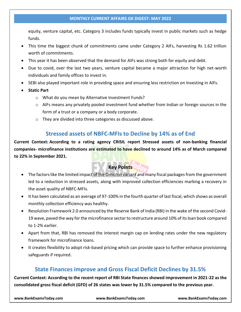#### **MONTHLY CURRENT AFFAIRS GK DIGEST: MAY 2022**

equity, venture capital, etc. Category 3 includes funds typically invest in public markets such as hedge funds.

- This time the biggest chunk of commitments came under Category 2 AIFs, harvesting Rs 1.62 trillion worth of commitments.
- This year it has been observed that the demand for AIFs was strong both for equity and debt.
- Due to covid, over the last two years, venture capital became a major attraction for high net-worth individuals and family offices to invest in.
- SEBI also played important role in providing space and ensuring less restriction on Investing in AIFs.
- **Static Part**
	- o What do you mean by Alternative Investment Funds?
	- $\circ$  AIFs means any privately pooled investment fund whether from Indian or foreign sources in the form of a trust or a company or a body corporate.
	- o They are divided into three categories as discussed above.

## **Stressed assets of NBFC-MFIs to Decline by 14% as of End**

**Current Context: According to a rating agency CRISIL report Stressed assets of non-banking financial companies- microfinance institutions are estimated to have declined to around 14% as of March compared to 22% in September 2021.**

## **Key Points**

- The factors like the limited impact of the Omicron variant and many fiscal packages from the government led to a reduction in stressed assets, along with improved collection efficiencies marking a recovery in the asset quality of NBFC-MFIs.
- It has been calculated as an average of 97-100% in the fourth quarter of last fiscal, which shows as overall monthly collection efficiency was healthy.
- Resolution Framework 2.0 announced by the Reserve Bank of India (RBI) in the wake of the second Covid-19 wave, paved the way for the microfinance sector to restructure around 10% of its loan book compared to 1-2% earlier.
- Apart from that, RBI has removed the interest margin cap on lending rates under the new regulatory framework for microfinance loans.
- It creates flexibility to adopt risk-based pricing which can provide space to further enhance provisioning safeguards if required.

# **State Finances improve and Gross Fiscal Deficit Declines by 31.5%**

**Current Context: According to the recent report of RBI State finances showed improvement in 2021-22 as the consolidated gross fiscal deficit (GFD) of 26 states was lower by 31.5% compared to the previous year.**